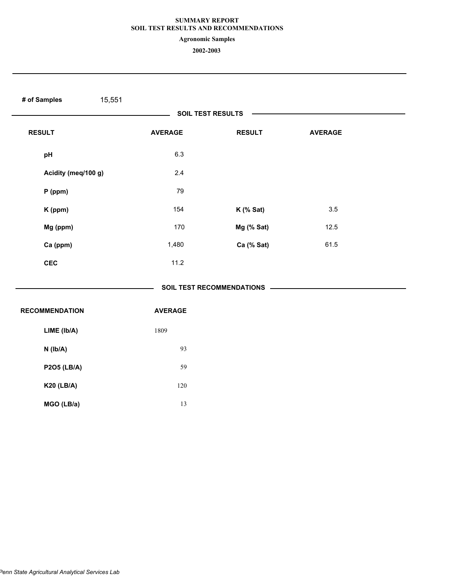**Agronomic Samples**

| # of Samples<br>15,551 |                |                                      |                |  |
|------------------------|----------------|--------------------------------------|----------------|--|
|                        |                | SOIL TEST RESULTS                    |                |  |
| <b>RESULT</b>          | <b>AVERAGE</b> | <b>RESULT</b>                        | <b>AVERAGE</b> |  |
| pH                     | 6.3            |                                      |                |  |
| Acidity (meq/100 g)    | 2.4            |                                      |                |  |
| $P$ (ppm)              | 79             |                                      |                |  |
| K (ppm)                | 154            | $K$ (% Sat)                          | 3.5            |  |
| Mg (ppm)               | 170            | Mg (% Sat)                           | 12.5           |  |
| Ca (ppm)               | 1,480          | Ca (% Sat)                           | 61.5           |  |
| <b>CEC</b>             | 11.2           |                                      |                |  |
|                        |                | SOIL TEST RECOMMENDATIONS —————————— |                |  |
| <b>RECOMMENDATION</b>  | <b>AVERAGE</b> |                                      |                |  |
| LIME (Ib/A)            | 1809           |                                      |                |  |
| $N$ ( $lb/A$ )         | 93             |                                      |                |  |
| <b>P2O5 (LB/A)</b>     | 59             |                                      |                |  |
| <b>K20 (LB/A)</b>      | 120            |                                      |                |  |
| MGO (LB/a)             | 13             |                                      |                |  |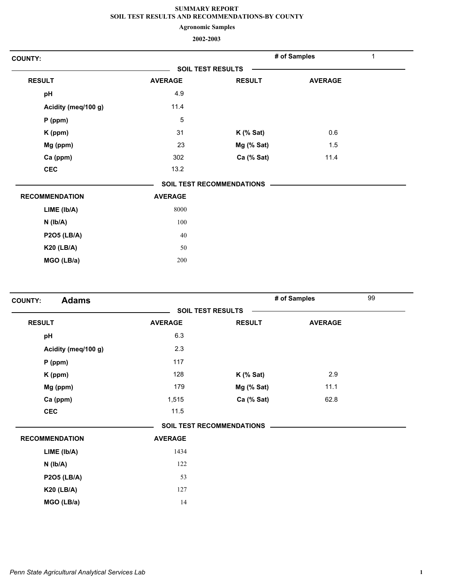**Agronomic Samples**

| <b>COUNTY:</b>        |                |                                  | # of Samples   | 1 |
|-----------------------|----------------|----------------------------------|----------------|---|
|                       |                | <b>SOIL TEST RESULTS</b>         |                |   |
| <b>RESULT</b>         | <b>AVERAGE</b> | <b>RESULT</b>                    | <b>AVERAGE</b> |   |
| pH                    | 4.9            |                                  |                |   |
| Acidity (meq/100 g)   | 11.4           |                                  |                |   |
| $P$ (ppm)             | $\,$ 5 $\,$    |                                  |                |   |
| K (ppm)               | 31             | $K$ (% Sat)                      | 0.6            |   |
| Mg (ppm)              | 23             | Mg (% Sat)                       | 1.5            |   |
| Ca (ppm)              | 302            | Ca (% Sat)                       | 11.4           |   |
| <b>CEC</b>            | 13.2           |                                  |                |   |
|                       |                | <b>SOIL TEST RECOMMENDATIONS</b> |                |   |
| <b>RECOMMENDATION</b> | <b>AVERAGE</b> |                                  |                |   |
| LIME (Ib/A)           | 8000           |                                  |                |   |
| $N$ ( $Ib/A$ )        | 100            |                                  |                |   |
| <b>P2O5 (LB/A)</b>    | 40             |                                  |                |   |
| <b>K20 (LB/A)</b>     | 50             |                                  |                |   |
| MGO (LB/a)            | 200            |                                  |                |   |

| <b>Adams</b><br><b>COUNTY:</b> |                          |                                  | # of Samples   | 99 |
|--------------------------------|--------------------------|----------------------------------|----------------|----|
|                                | <b>SOIL TEST RESULTS</b> |                                  |                |    |
| <b>RESULT</b>                  | <b>AVERAGE</b>           | <b>RESULT</b>                    | <b>AVERAGE</b> |    |
| pH                             | 6.3                      |                                  |                |    |
| Acidity (meq/100 g)            | 2.3                      |                                  |                |    |
| $P$ (ppm)                      | 117                      |                                  |                |    |
| K (ppm)                        | 128                      | $K$ (% Sat)                      | 2.9            |    |
| Mg (ppm)                       | 179                      | Mg (% Sat)                       | 11.1           |    |
| Ca (ppm)                       | 1,515                    | Ca (% Sat)                       | 62.8           |    |
| <b>CEC</b>                     | 11.5                     |                                  |                |    |
|                                |                          | <b>SOIL TEST RECOMMENDATIONS</b> |                |    |
| <b>RECOMMENDATION</b>          | <b>AVERAGE</b>           |                                  |                |    |
| LIME (Ib/A)                    | 1434                     |                                  |                |    |
| $N$ ( $Ib/A$ )                 | 122                      |                                  |                |    |
| <b>P2O5 (LB/A)</b>             | 53                       |                                  |                |    |
| <b>K20 (LB/A)</b>              | 127                      |                                  |                |    |
| MGO (LB/a)                     | 14                       |                                  |                |    |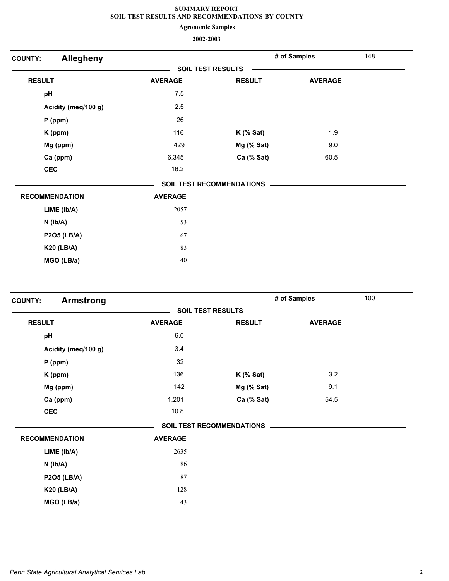**Agronomic Samples**

| <b>Allegheny</b><br><b>COUNTY:</b> |                |                                  | # of Samples   | 148 |
|------------------------------------|----------------|----------------------------------|----------------|-----|
|                                    |                | <b>SOIL TEST RESULTS</b>         |                |     |
| <b>RESULT</b>                      | <b>AVERAGE</b> | <b>RESULT</b>                    | <b>AVERAGE</b> |     |
| pH                                 | 7.5            |                                  |                |     |
| Acidity (meq/100 g)                | 2.5            |                                  |                |     |
| $P$ (ppm)                          | 26             |                                  |                |     |
| K (ppm)                            | 116            | $K$ (% Sat)                      | 1.9            |     |
| Mg (ppm)                           | 429            | Mg (% Sat)                       | 9.0            |     |
| Ca (ppm)                           | 6,345          | Ca (% Sat)                       | 60.5           |     |
| <b>CEC</b>                         | 16.2           |                                  |                |     |
|                                    |                | <b>SOIL TEST RECOMMENDATIONS</b> |                |     |
| <b>RECOMMENDATION</b>              | <b>AVERAGE</b> |                                  |                |     |
| LIME (Ib/A)                        | 2057           |                                  |                |     |
| $N$ ( $lb/A$ )                     | 53             |                                  |                |     |
| <b>P2O5 (LB/A)</b>                 | 67             |                                  |                |     |
| <b>K20 (LB/A)</b>                  | 83             |                                  |                |     |
| MGO (LB/a)                         | 40             |                                  |                |     |
|                                    |                |                                  |                |     |

| <b>Armstrong</b><br><b>COUNTY:</b> |                          |                                  | # of Samples   | 100 |
|------------------------------------|--------------------------|----------------------------------|----------------|-----|
|                                    | <b>SOIL TEST RESULTS</b> |                                  |                |     |
| <b>RESULT</b>                      | <b>AVERAGE</b>           | <b>RESULT</b>                    | <b>AVERAGE</b> |     |
| pH                                 | 6.0                      |                                  |                |     |
| Acidity (meq/100 g)                | 3.4                      |                                  |                |     |
| $P$ (ppm)                          | 32                       |                                  |                |     |
| K (ppm)                            | 136                      | $K$ (% Sat)                      | 3.2            |     |
| Mg (ppm)                           | 142                      | Mg (% Sat)                       | 9.1            |     |
| Ca (ppm)                           | 1,201                    | Ca (% Sat)                       | 54.5           |     |
| <b>CEC</b>                         | 10.8                     |                                  |                |     |
|                                    |                          | <b>SOIL TEST RECOMMENDATIONS</b> |                |     |
| <b>RECOMMENDATION</b>              | <b>AVERAGE</b>           |                                  |                |     |
| LIME (Ib/A)                        | 2635                     |                                  |                |     |
| $N$ ( $lb/A$ )                     | 86                       |                                  |                |     |
| <b>P2O5 (LB/A)</b>                 | 87                       |                                  |                |     |
| <b>K20 (LB/A)</b>                  | 128                      |                                  |                |     |
| MGO (LB/a)                         | 43                       |                                  |                |     |
|                                    |                          |                                  |                |     |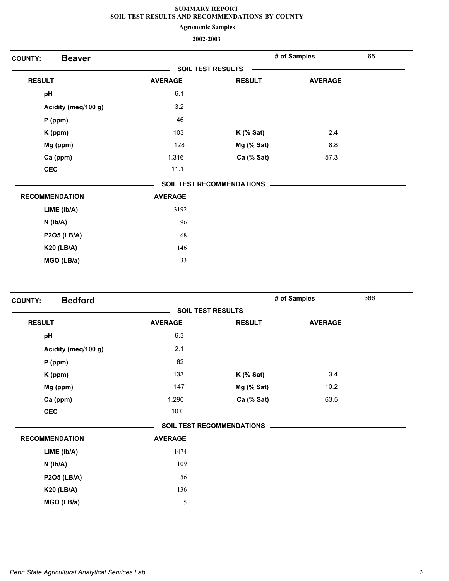**Agronomic Samples**

| <b>Beaver</b><br><b>COUNTY:</b> |                          |                                  | # of Samples   | 65 |
|---------------------------------|--------------------------|----------------------------------|----------------|----|
|                                 | <b>SOIL TEST RESULTS</b> |                                  |                |    |
| <b>RESULT</b>                   | <b>AVERAGE</b>           | <b>RESULT</b>                    | <b>AVERAGE</b> |    |
| pH                              | 6.1                      |                                  |                |    |
| Acidity (meq/100 g)             | 3.2                      |                                  |                |    |
| $P$ (ppm)                       | 46                       |                                  |                |    |
| K (ppm)                         | 103                      | $K$ (% Sat)                      | 2.4            |    |
| Mg (ppm)                        | 128                      | Mg (% Sat)                       | 8.8            |    |
| Ca (ppm)                        | 1,316                    | Ca (% Sat)                       | 57.3           |    |
| <b>CEC</b>                      | 11.1                     |                                  |                |    |
|                                 |                          | <b>SOIL TEST RECOMMENDATIONS</b> |                |    |
| <b>RECOMMENDATION</b>           | <b>AVERAGE</b>           |                                  |                |    |
| LIME (Ib/A)                     | 3192                     |                                  |                |    |
| $N$ ( $Ib/A$ )                  | 96                       |                                  |                |    |
| <b>P2O5 (LB/A)</b>              | 68                       |                                  |                |    |
| <b>K20 (LB/A)</b>               | 146                      |                                  |                |    |
| MGO (LB/a)                      | 33                       |                                  |                |    |

| <b>Bedford</b><br><b>COUNTY:</b> |                |                                  | # of Samples   | 366 |
|----------------------------------|----------------|----------------------------------|----------------|-----|
|                                  |                | <b>SOIL TEST RESULTS</b>         |                |     |
| <b>RESULT</b>                    | <b>AVERAGE</b> | <b>RESULT</b>                    | <b>AVERAGE</b> |     |
| pH                               | 6.3            |                                  |                |     |
| Acidity (meq/100 g)              | 2.1            |                                  |                |     |
| $P$ (ppm)                        | 62             |                                  |                |     |
| K (ppm)                          | 133            | $K$ (% Sat)                      | 3.4            |     |
| Mg (ppm)                         | 147            | Mg (% Sat)                       | 10.2           |     |
| Ca (ppm)                         | 1,290          | Ca (% Sat)                       | 63.5           |     |
| <b>CEC</b>                       | 10.0           |                                  |                |     |
|                                  |                | <b>SOIL TEST RECOMMENDATIONS</b> |                |     |
| <b>RECOMMENDATION</b>            | <b>AVERAGE</b> |                                  |                |     |
| LIME (Ib/A)                      | 1474           |                                  |                |     |
| $N$ ( $Ib/A$ )                   | 109            |                                  |                |     |
| <b>P2O5 (LB/A)</b>               | 56             |                                  |                |     |
| <b>K20 (LB/A)</b>                | 136            |                                  |                |     |
| MGO (LB/a)                       | 15             |                                  |                |     |
|                                  |                |                                  |                |     |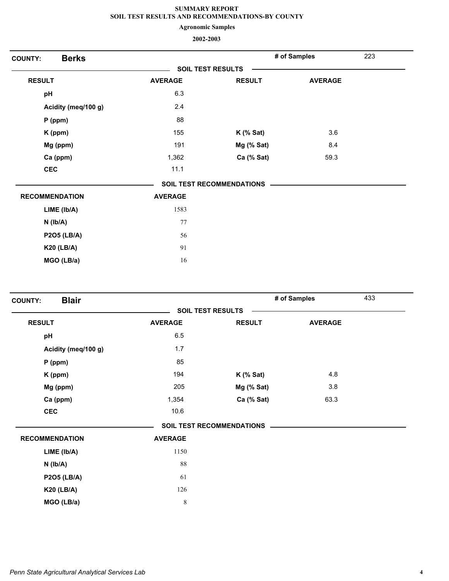**Agronomic Samples**

| <b>Berks</b><br><b>COUNTY:</b> |                |                                  | # of Samples   | 223 |
|--------------------------------|----------------|----------------------------------|----------------|-----|
|                                |                | <b>SOIL TEST RESULTS</b>         |                |     |
| <b>RESULT</b>                  | <b>AVERAGE</b> | <b>RESULT</b>                    | <b>AVERAGE</b> |     |
| pH                             | 6.3            |                                  |                |     |
| Acidity (meq/100 g)            | 2.4            |                                  |                |     |
| $P$ (ppm)                      | 88             |                                  |                |     |
| K (ppm)                        | 155            | $K$ (% Sat)                      | 3.6            |     |
| Mg (ppm)                       | 191            | Mg (% Sat)                       | 8.4            |     |
| Ca (ppm)                       | 1,362          | Ca (% Sat)                       | 59.3           |     |
| <b>CEC</b>                     | 11.1           |                                  |                |     |
|                                |                | <b>SOIL TEST RECOMMENDATIONS</b> |                |     |
| <b>RECOMMENDATION</b>          | <b>AVERAGE</b> |                                  |                |     |
| LIME (Ib/A)                    | 1583           |                                  |                |     |
| $N$ ( $lb/A$ )                 | 77             |                                  |                |     |
| <b>P2O5 (LB/A)</b>             | 56             |                                  |                |     |
| <b>K20 (LB/A)</b>              | 91             |                                  |                |     |
| MGO (LB/a)                     | 16             |                                  |                |     |

|                       | <b>SOIL TEST RESULTS</b> |                                  |                |  |
|-----------------------|--------------------------|----------------------------------|----------------|--|
|                       |                          |                                  |                |  |
| <b>RESULT</b>         | <b>AVERAGE</b>           | <b>RESULT</b>                    | <b>AVERAGE</b> |  |
| pH                    | 6.5                      |                                  |                |  |
| Acidity (meq/100 g)   | 1.7                      |                                  |                |  |
| $P$ (ppm)             | 85                       |                                  |                |  |
| K (ppm)               | 194                      | $K$ (% Sat)                      | 4.8            |  |
| Mg (ppm)              | 205                      | Mg (% Sat)                       | 3.8            |  |
| Ca (ppm)              | 1,354                    | Ca (% Sat)                       | 63.3           |  |
| <b>CEC</b>            | 10.6                     |                                  |                |  |
|                       |                          | <b>SOIL TEST RECOMMENDATIONS</b> |                |  |
| <b>RECOMMENDATION</b> | <b>AVERAGE</b>           |                                  |                |  |
| LIME (Ib/A)           | 1150                     |                                  |                |  |
| $N$ ( $Ib/A$ )        | 88                       |                                  |                |  |
| <b>P2O5 (LB/A)</b>    | 61                       |                                  |                |  |
| <b>K20 (LB/A)</b>     | 126                      |                                  |                |  |
| MGO (LB/a)            | $\,$ 8 $\,$              |                                  |                |  |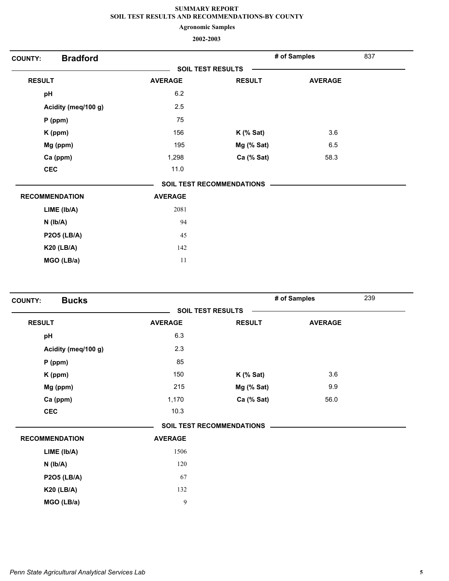**Agronomic Samples**

| <b>Bradford</b><br><b>COUNTY:</b> |                |                                  | # of Samples   | 837 |
|-----------------------------------|----------------|----------------------------------|----------------|-----|
|                                   |                | <b>SOIL TEST RESULTS</b>         |                |     |
| <b>RESULT</b>                     | <b>AVERAGE</b> | <b>RESULT</b>                    | <b>AVERAGE</b> |     |
| pH                                | 6.2            |                                  |                |     |
| Acidity (meq/100 g)               | 2.5            |                                  |                |     |
| $P$ (ppm)                         | 75             |                                  |                |     |
| K (ppm)                           | 156            | $K$ (% Sat)                      | 3.6            |     |
| Mg (ppm)                          | 195            | Mg (% Sat)                       | 6.5            |     |
| Ca (ppm)                          | 1,298          | Ca (% Sat)                       | 58.3           |     |
| <b>CEC</b>                        | $11.0$         |                                  |                |     |
|                                   |                | <b>SOIL TEST RECOMMENDATIONS</b> |                |     |
| <b>RECOMMENDATION</b>             | <b>AVERAGE</b> |                                  |                |     |
| LIME (Ib/A)                       | 2081           |                                  |                |     |
| $N$ ( $Ib/A$ )                    | 94             |                                  |                |     |
| <b>P2O5 (LB/A)</b>                | 45             |                                  |                |     |
| <b>K20 (LB/A)</b>                 | 142            |                                  |                |     |
| MGO (LB/a)                        | 11             |                                  |                |     |

| <b>Bucks</b><br><b>COUNTY:</b> |                |                                  | # of Samples   | 239 |
|--------------------------------|----------------|----------------------------------|----------------|-----|
|                                |                | <b>SOIL TEST RESULTS</b>         |                |     |
| <b>RESULT</b>                  | <b>AVERAGE</b> | <b>RESULT</b>                    | <b>AVERAGE</b> |     |
| pH                             | 6.3            |                                  |                |     |
| Acidity (meq/100 g)            | 2.3            |                                  |                |     |
| $P$ (ppm)                      | 85             |                                  |                |     |
| K (ppm)                        | 150            | $K$ (% Sat)                      | 3.6            |     |
| Mg (ppm)                       | 215            | Mg (% Sat)                       | 9.9            |     |
| Ca (ppm)                       | 1,170          | Ca (% Sat)                       | 56.0           |     |
| <b>CEC</b>                     | 10.3           |                                  |                |     |
|                                |                | <b>SOIL TEST RECOMMENDATIONS</b> |                |     |
| <b>RECOMMENDATION</b>          | <b>AVERAGE</b> |                                  |                |     |
| LIME (Ib/A)                    | 1506           |                                  |                |     |
| $N$ ( $Ib/A$ )                 | 120            |                                  |                |     |
| <b>P2O5 (LB/A)</b>             | 67             |                                  |                |     |
| <b>K20 (LB/A)</b>              | 132            |                                  |                |     |
| MGO (LB/a)                     | 9              |                                  |                |     |
|                                |                |                                  |                |     |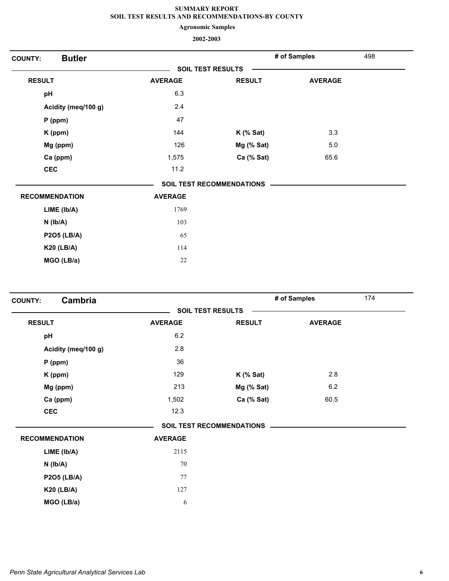**Agronomic Samples**

| <b>Butler</b><br><b>COUNTY:</b> |                |                                  | # of Samples   | 498 |
|---------------------------------|----------------|----------------------------------|----------------|-----|
|                                 |                | <b>SOIL TEST RESULTS</b>         |                |     |
| <b>RESULT</b>                   | <b>AVERAGE</b> | <b>RESULT</b>                    | <b>AVERAGE</b> |     |
| pH                              | 6.3            |                                  |                |     |
| Acidity (meq/100 g)             | 2.4            |                                  |                |     |
| $P$ (ppm)                       | 47             |                                  |                |     |
| K (ppm)                         | 144            | $K$ (% Sat)                      | 3.3            |     |
| Mg (ppm)                        | 126            | Mg (% Sat)                       | 5.0            |     |
| Ca (ppm)                        | 1,575          | Ca (% Sat)                       | 65.6           |     |
| <b>CEC</b>                      | 11.2           |                                  |                |     |
|                                 |                | <b>SOIL TEST RECOMMENDATIONS</b> |                |     |
| <b>RECOMMENDATION</b>           | <b>AVERAGE</b> |                                  |                |     |
| LIME (Ib/A)                     | 1769           |                                  |                |     |
| $N$ ( $Ib/A$ )                  | 103            |                                  |                |     |
| <b>P2O5 (LB/A)</b>              | 65             |                                  |                |     |
| <b>K20 (LB/A)</b>               | 114            |                                  |                |     |
| MGO (LB/a)                      | $22\,$         |                                  |                |     |

| Cambria<br><b>COUNTY:</b> |                |                                  | # of Samples   | 174 |
|---------------------------|----------------|----------------------------------|----------------|-----|
|                           |                | <b>SOIL TEST RESULTS</b>         |                |     |
| <b>RESULT</b>             | <b>AVERAGE</b> | <b>RESULT</b>                    | <b>AVERAGE</b> |     |
| pH                        | 6.2            |                                  |                |     |
| Acidity (meq/100 g)       | 2.8            |                                  |                |     |
| $P$ (ppm)                 | 36             |                                  |                |     |
| K (ppm)                   | 129            | $K$ (% Sat)                      | 2.8            |     |
| Mg (ppm)                  | 213            | Mg (% Sat)                       | 6.2            |     |
| Ca (ppm)                  | 1,502          | Ca (% Sat)                       | 60.5           |     |
| <b>CEC</b>                | 12.3           |                                  |                |     |
|                           |                | <b>SOIL TEST RECOMMENDATIONS</b> |                |     |
| <b>RECOMMENDATION</b>     | <b>AVERAGE</b> |                                  |                |     |
| LIME (lb/A)               | 2115           |                                  |                |     |
| $N$ ( $lb/A$ )            | 70             |                                  |                |     |
| <b>P2O5 (LB/A)</b>        | 77             |                                  |                |     |
| <b>K20 (LB/A)</b>         | 127            |                                  |                |     |
| MGO (LB/a)                | 6              |                                  |                |     |
|                           |                |                                  |                |     |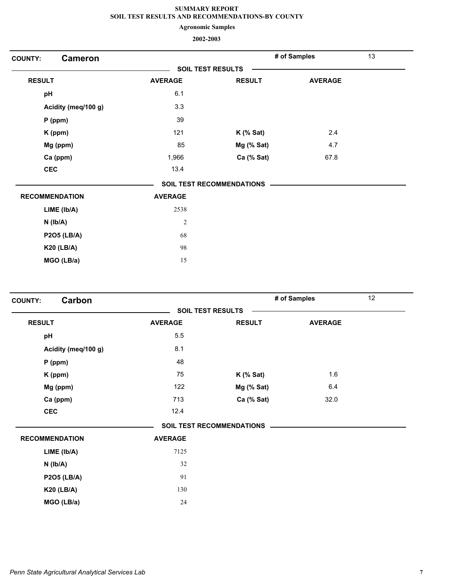**Agronomic Samples**

| <b>Cameron</b><br><b>COUNTY:</b> |                          |                                  | # of Samples   | 13 |
|----------------------------------|--------------------------|----------------------------------|----------------|----|
|                                  | <b>SOIL TEST RESULTS</b> |                                  |                |    |
| <b>RESULT</b>                    | <b>AVERAGE</b>           | <b>RESULT</b>                    | <b>AVERAGE</b> |    |
| pH                               | 6.1                      |                                  |                |    |
| Acidity (meq/100 g)              | 3.3                      |                                  |                |    |
| $P$ (ppm)                        | 39                       |                                  |                |    |
| K (ppm)                          | 121                      | $K$ (% Sat)                      | 2.4            |    |
| Mg (ppm)                         | 85                       | Mg (% Sat)                       | 4.7            |    |
| Ca (ppm)                         | 1,966                    | Ca (% Sat)                       | 67.8           |    |
| <b>CEC</b>                       | 13.4                     |                                  |                |    |
|                                  |                          | <b>SOIL TEST RECOMMENDATIONS</b> |                |    |
| <b>RECOMMENDATION</b>            | <b>AVERAGE</b>           |                                  |                |    |
| LIME (Ib/A)                      | 2538                     |                                  |                |    |
| $N$ ( $Ib/A$ )                   | $\sqrt{2}$               |                                  |                |    |
| <b>P2O5 (LB/A)</b>               | 68                       |                                  |                |    |
| <b>K20 (LB/A)</b>                | 98                       |                                  |                |    |
| MGO (LB/a)                       | 15                       |                                  |                |    |

| Carbon<br><b>COUNTY:</b> |                |                                  | # of Samples   | 12 |
|--------------------------|----------------|----------------------------------|----------------|----|
|                          |                | <b>SOIL TEST RESULTS</b>         |                |    |
| <b>RESULT</b>            | <b>AVERAGE</b> | <b>RESULT</b>                    | <b>AVERAGE</b> |    |
| pH                       | 5.5            |                                  |                |    |
| Acidity (meq/100 g)      | 8.1            |                                  |                |    |
| $P$ (ppm)                | 48             |                                  |                |    |
| K (ppm)                  | 75             | $K$ (% Sat)                      | 1.6            |    |
| Mg (ppm)                 | 122            | Mg (% Sat)                       | 6.4            |    |
| Ca (ppm)                 | 713            | Ca (% Sat)                       | 32.0           |    |
| <b>CEC</b>               | 12.4           |                                  |                |    |
|                          |                | <b>SOIL TEST RECOMMENDATIONS</b> |                |    |
| <b>RECOMMENDATION</b>    | <b>AVERAGE</b> |                                  |                |    |
| LIME (Ib/A)              | 7125           |                                  |                |    |
| $N$ ( $lb/A$ )           | 32             |                                  |                |    |
| <b>P2O5 (LB/A)</b>       | 91             |                                  |                |    |
| <b>K20 (LB/A)</b>        | 130            |                                  |                |    |
| MGO (LB/a)               | 24             |                                  |                |    |
|                          |                |                                  |                |    |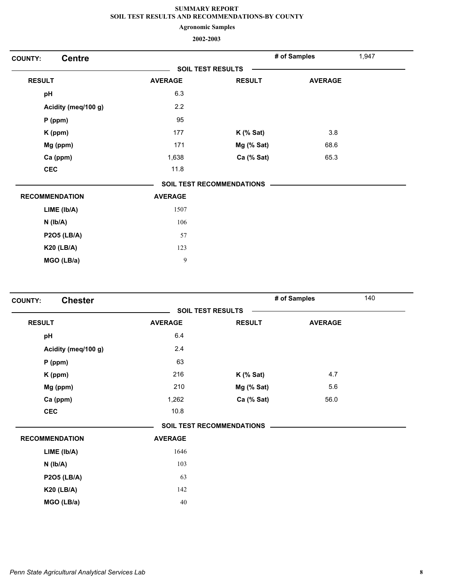**Agronomic Samples**

| <b>Centre</b><br><b>COUNTY:</b> |                |                                  | 1,947<br># of Samples |  |
|---------------------------------|----------------|----------------------------------|-----------------------|--|
|                                 |                | <b>SOIL TEST RESULTS</b>         |                       |  |
| <b>RESULT</b>                   | <b>AVERAGE</b> | <b>RESULT</b>                    | <b>AVERAGE</b>        |  |
| pH                              | 6.3            |                                  |                       |  |
| Acidity (meq/100 g)             | 2.2            |                                  |                       |  |
| $P$ (ppm)                       | 95             |                                  |                       |  |
| K (ppm)                         | 177            | $K$ (% Sat)                      | 3.8                   |  |
| Mg (ppm)                        | 171            | Mg (% Sat)                       | 68.6                  |  |
| Ca (ppm)                        | 1,638          | Ca (% Sat)                       | 65.3                  |  |
| <b>CEC</b>                      | 11.8           |                                  |                       |  |
|                                 |                | <b>SOIL TEST RECOMMENDATIONS</b> |                       |  |
| <b>RECOMMENDATION</b>           | <b>AVERAGE</b> |                                  |                       |  |
| LIME (Ib/A)                     | 1507           |                                  |                       |  |
| $N$ ( $Ib/A$ )                  | 106            |                                  |                       |  |
| <b>P2O5 (LB/A)</b>              | 57             |                                  |                       |  |
| <b>K20 (LB/A)</b>               | 123            |                                  |                       |  |
| MGO (LB/a)                      | 9              |                                  |                       |  |

| <b>Chester</b><br><b>COUNTY:</b> |                |                                  | # of Samples   | 140 |  |
|----------------------------------|----------------|----------------------------------|----------------|-----|--|
|                                  |                | <b>SOIL TEST RESULTS</b>         |                |     |  |
| <b>RESULT</b>                    | <b>AVERAGE</b> | <b>RESULT</b>                    | <b>AVERAGE</b> |     |  |
| pH                               | 6.4            |                                  |                |     |  |
| Acidity (meq/100 g)              | 2.4            |                                  |                |     |  |
| $P$ (ppm)                        | 63             |                                  |                |     |  |
| K (ppm)                          | 216            | $K$ (% Sat)                      | 4.7            |     |  |
| Mg (ppm)                         | 210            | Mg (% Sat)                       | 5.6            |     |  |
| Ca (ppm)                         | 1,262          | Ca (% Sat)                       | 56.0           |     |  |
| <b>CEC</b>                       | 10.8           |                                  |                |     |  |
|                                  |                | <b>SOIL TEST RECOMMENDATIONS</b> |                |     |  |
| <b>RECOMMENDATION</b>            | <b>AVERAGE</b> |                                  |                |     |  |
| LIME (Ib/A)                      | 1646           |                                  |                |     |  |
| $N$ ( $Ib/A$ )                   | 103            |                                  |                |     |  |
| <b>P2O5 (LB/A)</b>               | 63             |                                  |                |     |  |
| <b>K20 (LB/A)</b>                | 142            |                                  |                |     |  |
| MGO (LB/a)                       | 40             |                                  |                |     |  |
|                                  |                |                                  |                |     |  |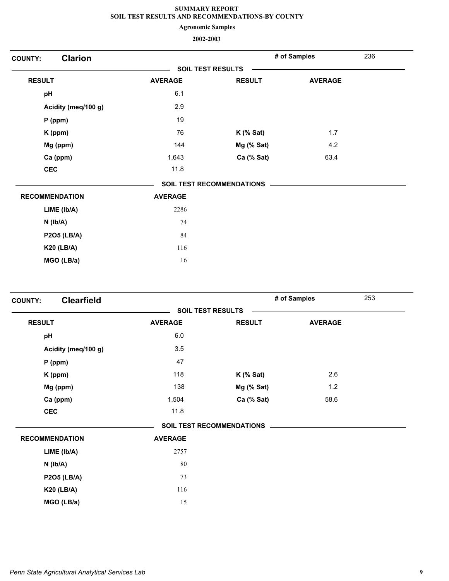**Agronomic Samples**

| <b>Clarion</b><br><b>COUNTY:</b> |                          |                                  | # of Samples   | 236 |
|----------------------------------|--------------------------|----------------------------------|----------------|-----|
|                                  | <b>SOIL TEST RESULTS</b> |                                  |                |     |
| <b>RESULT</b>                    | <b>AVERAGE</b>           | <b>RESULT</b>                    | <b>AVERAGE</b> |     |
| pH                               | 6.1                      |                                  |                |     |
| Acidity (meq/100 g)              | 2.9                      |                                  |                |     |
| $P$ (ppm)                        | 19                       |                                  |                |     |
| K (ppm)                          | 76                       | $K$ (% Sat)                      | 1.7            |     |
| Mg (ppm)                         | 144                      | Mg (% Sat)                       | 4.2            |     |
| Ca (ppm)                         | 1,643                    | Ca (% Sat)                       | 63.4           |     |
| <b>CEC</b>                       | 11.8                     |                                  |                |     |
|                                  |                          | <b>SOIL TEST RECOMMENDATIONS</b> |                |     |
| <b>RECOMMENDATION</b>            | <b>AVERAGE</b>           |                                  |                |     |
| LIME (Ib/A)                      | 2286                     |                                  |                |     |
| $N$ ( $Ib/A$ )                   | 74                       |                                  |                |     |
| <b>P2O5 (LB/A)</b>               | 84                       |                                  |                |     |
| <b>K20 (LB/A)</b>                | 116                      |                                  |                |     |
| MGO (LB/a)                       | 16                       |                                  |                |     |

| <b>Clearfield</b>     |                          |                                  | # of Samples   | 253 |
|-----------------------|--------------------------|----------------------------------|----------------|-----|
|                       | <b>SOIL TEST RESULTS</b> |                                  |                |     |
| <b>RESULT</b>         | <b>AVERAGE</b>           | <b>RESULT</b>                    | <b>AVERAGE</b> |     |
| pH                    | 6.0                      |                                  |                |     |
| Acidity (meq/100 g)   | 3.5                      |                                  |                |     |
| $P$ (ppm)             | 47                       |                                  |                |     |
| K (ppm)               | 118                      | $K$ (% Sat)                      | 2.6            |     |
| Mg (ppm)              | 138                      | Mg (% Sat)                       | 1.2            |     |
| Ca (ppm)              | 1,504                    | Ca (% Sat)                       | 58.6           |     |
| <b>CEC</b>            | 11.8                     |                                  |                |     |
|                       |                          | <b>SOIL TEST RECOMMENDATIONS</b> |                |     |
| <b>RECOMMENDATION</b> | <b>AVERAGE</b>           |                                  |                |     |
| LIME (Ib/A)           | 2757                     |                                  |                |     |
| $N$ ( $Ib/A$ )        | 80                       |                                  |                |     |
| <b>P2O5 (LB/A)</b>    | 73                       |                                  |                |     |
| <b>K20 (LB/A)</b>     | 116                      |                                  |                |     |
| MGO (LB/a)            | 15                       |                                  |                |     |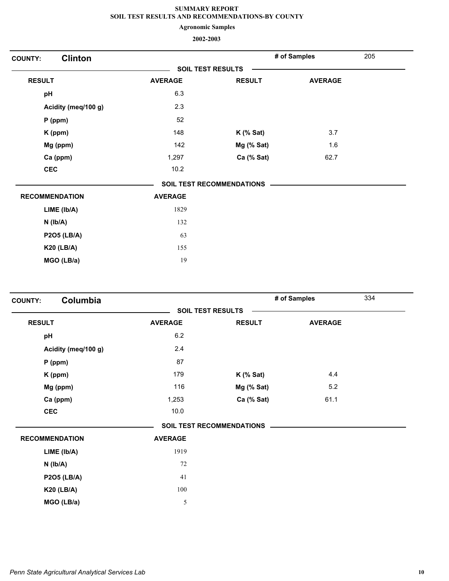**Agronomic Samples**

| <b>Clinton</b><br><b>COUNTY:</b> |                          |                                  | # of Samples   | 205 |
|----------------------------------|--------------------------|----------------------------------|----------------|-----|
|                                  | <b>SOIL TEST RESULTS</b> |                                  |                |     |
| <b>RESULT</b>                    | <b>AVERAGE</b>           | <b>RESULT</b>                    | <b>AVERAGE</b> |     |
| pH                               | 6.3                      |                                  |                |     |
| Acidity (meq/100 g)              | 2.3                      |                                  |                |     |
| $P$ (ppm)                        | 52                       |                                  |                |     |
| K (ppm)                          | 148                      | $K$ (% Sat)                      | 3.7            |     |
| Mg (ppm)                         | 142                      | Mg (% Sat)                       | 1.6            |     |
| Ca (ppm)                         | 1,297                    | Ca (% Sat)                       | 62.7           |     |
| <b>CEC</b>                       | 10.2                     |                                  |                |     |
|                                  |                          | <b>SOIL TEST RECOMMENDATIONS</b> |                |     |
| <b>RECOMMENDATION</b>            | <b>AVERAGE</b>           |                                  |                |     |
| LIME (lb/A)                      | 1829                     |                                  |                |     |
| $N$ ( $lb/A$ )                   | 132                      |                                  |                |     |
| <b>P2O5 (LB/A)</b>               | 63                       |                                  |                |     |
| <b>K20 (LB/A)</b>                | 155                      |                                  |                |     |
| MGO (LB/a)                       | 19                       |                                  |                |     |

| Columbia<br><b>COUNTY:</b> |                |                                  | # of Samples   | 334 |
|----------------------------|----------------|----------------------------------|----------------|-----|
|                            |                | <b>SOIL TEST RESULTS</b>         |                |     |
| <b>RESULT</b>              | <b>AVERAGE</b> | <b>RESULT</b>                    | <b>AVERAGE</b> |     |
| pH                         | 6.2            |                                  |                |     |
| Acidity (meq/100 g)        | 2.4            |                                  |                |     |
| $P$ (ppm)                  | 87             |                                  |                |     |
| K (ppm)                    | 179            | $K$ (% Sat)                      | 4.4            |     |
| Mg (ppm)                   | 116            | Mg (% Sat)                       | 5.2            |     |
| Ca (ppm)                   | 1,253          | Ca (% Sat)                       | 61.1           |     |
| <b>CEC</b>                 | 10.0           |                                  |                |     |
|                            |                | <b>SOIL TEST RECOMMENDATIONS</b> |                |     |
| <b>RECOMMENDATION</b>      | <b>AVERAGE</b> |                                  |                |     |
| LIME (Ib/A)                | 1919           |                                  |                |     |
| $N$ ( $lb/A$ )             | 72             |                                  |                |     |
| <b>P2O5 (LB/A)</b>         | 41             |                                  |                |     |
| <b>K20 (LB/A)</b>          | 100            |                                  |                |     |
| MGO (LB/a)                 | 5              |                                  |                |     |
|                            |                |                                  |                |     |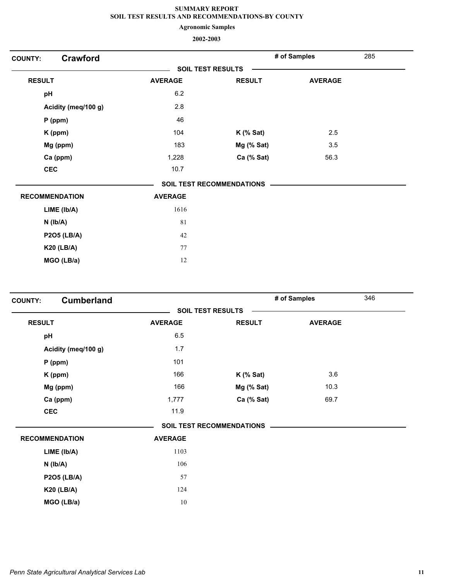**Agronomic Samples**

| <b>COUNTY:</b> | <b>Crawford</b>       |                |                           | # of Samples   | 285 |
|----------------|-----------------------|----------------|---------------------------|----------------|-----|
|                |                       |                | <b>SOIL TEST RESULTS</b>  |                |     |
| <b>RESULT</b>  |                       | <b>AVERAGE</b> | <b>RESULT</b>             | <b>AVERAGE</b> |     |
| pH             |                       | 6.2            |                           |                |     |
|                | Acidity (meq/100 g)   | 2.8            |                           |                |     |
|                | $P$ (ppm)             | 46             |                           |                |     |
|                | K (ppm)               | 104            | $K$ (% Sat)               | 2.5            |     |
|                | Mg (ppm)              | 183            | Mg (% Sat)                | 3.5            |     |
|                | Ca (ppm)              | 1,228          | Ca (% Sat)                | 56.3           |     |
|                | <b>CEC</b>            | 10.7           |                           |                |     |
|                |                       |                | SOIL TEST RECOMMENDATIONS |                |     |
|                | <b>RECOMMENDATION</b> | <b>AVERAGE</b> |                           |                |     |
|                | LIME (Ib/A)           | 1616           |                           |                |     |
|                | $N$ ( $lb/A$ )        | 81             |                           |                |     |
|                | <b>P2O5 (LB/A)</b>    | 42             |                           |                |     |
|                | <b>K20 (LB/A)</b>     | 77             |                           |                |     |
|                | MGO (LB/a)            | 12             |                           |                |     |
|                |                       |                |                           |                |     |

| <b>COUNTY:</b> | <b>Cumberland</b>     |                |                                  | # of Samples   | 346 |
|----------------|-----------------------|----------------|----------------------------------|----------------|-----|
|                |                       |                | <b>SOIL TEST RESULTS</b>         |                |     |
| <b>RESULT</b>  |                       | <b>AVERAGE</b> | <b>RESULT</b>                    | <b>AVERAGE</b> |     |
| pH             |                       | 6.5            |                                  |                |     |
|                | Acidity (meq/100 g)   | 1.7            |                                  |                |     |
|                | $P$ (ppm)             | 101            |                                  |                |     |
|                | K (ppm)               | 166            | $K$ (% Sat)                      | 3.6            |     |
|                | Mg (ppm)              | 166            | Mg (% Sat)                       | 10.3           |     |
|                | Ca (ppm)              | 1,777          | Ca (% Sat)                       | 69.7           |     |
| <b>CEC</b>     |                       | 11.9           |                                  |                |     |
|                |                       |                | <b>SOIL TEST RECOMMENDATIONS</b> |                |     |
|                | <b>RECOMMENDATION</b> | <b>AVERAGE</b> |                                  |                |     |
|                | LIME (lb/A)           | 1103           |                                  |                |     |
|                | $N$ ( $lb/A$ )        | 106            |                                  |                |     |
|                | <b>P2O5 (LB/A)</b>    | 57             |                                  |                |     |
|                | <b>K20 (LB/A)</b>     | 124            |                                  |                |     |
|                | MGO (LB/a)            | 10             |                                  |                |     |
|                |                       |                |                                  |                |     |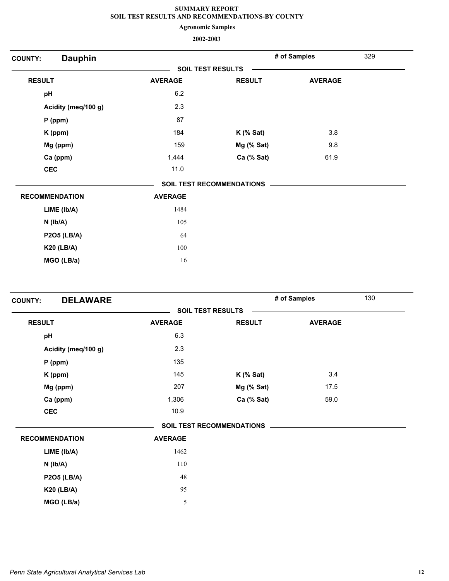**Agronomic Samples**

| <b>COUNTY:</b> | <b>Dauphin</b>        |                          |                                  | # of Samples   | 329 |
|----------------|-----------------------|--------------------------|----------------------------------|----------------|-----|
|                |                       | <b>SOIL TEST RESULTS</b> |                                  |                |     |
| <b>RESULT</b>  |                       | <b>AVERAGE</b>           | <b>RESULT</b>                    | <b>AVERAGE</b> |     |
| pH             |                       | 6.2                      |                                  |                |     |
|                | Acidity (meq/100 g)   | 2.3                      |                                  |                |     |
|                | P (ppm)               | 87                       |                                  |                |     |
|                | K (ppm)               | 184                      | $K$ (% Sat)                      | 3.8            |     |
|                | Mg (ppm)              | 159                      | Mg (% Sat)                       | 9.8            |     |
|                | Ca (ppm)              | 1,444                    | Ca (% Sat)                       | 61.9           |     |
|                | <b>CEC</b>            | 11.0                     |                                  |                |     |
|                |                       |                          | <b>SOIL TEST RECOMMENDATIONS</b> |                |     |
|                | <b>RECOMMENDATION</b> | <b>AVERAGE</b>           |                                  |                |     |
|                | LIME (Ib/A)           | 1484                     |                                  |                |     |
|                | $N$ ( $Ib/A$ )        | 105                      |                                  |                |     |
|                | <b>P2O5 (LB/A)</b>    | 64                       |                                  |                |     |
|                | <b>K20 (LB/A)</b>     | 100                      |                                  |                |     |
|                | MGO (LB/a)            | 16                       |                                  |                |     |
|                |                       |                          |                                  |                |     |

| <b>DELAWARE</b><br><b>COUNTY:</b> |                |                                  | # of Samples   | 130 |
|-----------------------------------|----------------|----------------------------------|----------------|-----|
|                                   |                | <b>SOIL TEST RESULTS</b>         |                |     |
| <b>RESULT</b>                     | <b>AVERAGE</b> | <b>RESULT</b>                    | <b>AVERAGE</b> |     |
| pH                                | 6.3            |                                  |                |     |
| Acidity (meq/100 g)               | 2.3            |                                  |                |     |
| $P$ (ppm)                         | 135            |                                  |                |     |
| K (ppm)                           | 145            | $K$ (% Sat)                      | 3.4            |     |
| Mg (ppm)                          | 207            | Mg (% Sat)                       | 17.5           |     |
| Ca (ppm)                          | 1,306          | Ca (% Sat)                       | 59.0           |     |
| <b>CEC</b>                        | 10.9           |                                  |                |     |
|                                   |                | <b>SOIL TEST RECOMMENDATIONS</b> |                |     |
| <b>RECOMMENDATION</b>             | <b>AVERAGE</b> |                                  |                |     |
| LIME (Ib/A)                       | 1462           |                                  |                |     |
| $N$ ( $Ib/A$ )                    | 110            |                                  |                |     |
| <b>P2O5 (LB/A)</b>                | 48             |                                  |                |     |
| <b>K20 (LB/A)</b>                 | 95             |                                  |                |     |
| MGO (LB/a)                        | $\mathfrak s$  |                                  |                |     |
|                                   |                |                                  |                |     |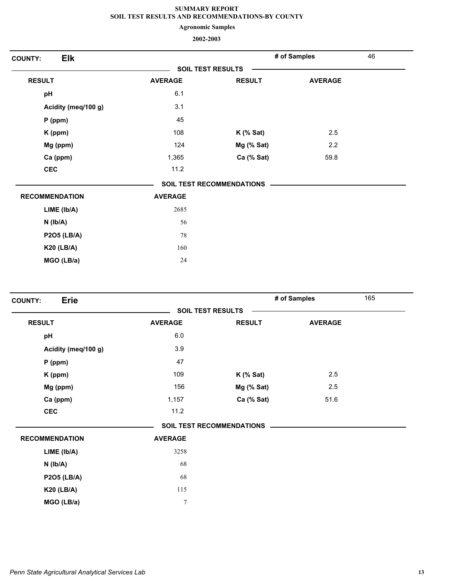**Agronomic Samples**

| <b>Elk</b><br><b>COUNTY:</b> |                          |                           | # of Samples   | 46 |
|------------------------------|--------------------------|---------------------------|----------------|----|
|                              | <b>SOIL TEST RESULTS</b> |                           |                |    |
| <b>RESULT</b>                | <b>AVERAGE</b>           | <b>RESULT</b>             | <b>AVERAGE</b> |    |
| pH                           | 6.1                      |                           |                |    |
| Acidity (meq/100 g)          | 3.1                      |                           |                |    |
| $P$ (ppm)                    | 45                       |                           |                |    |
| K (ppm)                      | 108                      | $K$ (% Sat)               | 2.5            |    |
| Mg (ppm)                     | 124                      | Mg (% Sat)                | 2.2            |    |
| Ca (ppm)                     | 1,365                    | Ca (% Sat)                | 59.8           |    |
| CEC                          | 11.2                     |                           |                |    |
|                              |                          | SOIL TEST RECOMMENDATIONS |                |    |
| <b>RECOMMENDATION</b>        | <b>AVERAGE</b>           |                           |                |    |
| LIME (Ib/A)                  | 2685                     |                           |                |    |
| $N$ ( $lb/A$ )               | 56                       |                           |                |    |
| <b>P2O5 (LB/A)</b>           | 78                       |                           |                |    |
| <b>K20 (LB/A)</b>            | 160                      |                           |                |    |
| MGO (LB/a)                   | 24                       |                           |                |    |

| <b>Erie</b><br><b>COUNTY:</b> |                |                                  | # of Samples<br>165 |  |
|-------------------------------|----------------|----------------------------------|---------------------|--|
|                               |                | <b>SOIL TEST RESULTS</b>         |                     |  |
| <b>RESULT</b>                 | <b>AVERAGE</b> | <b>RESULT</b>                    | <b>AVERAGE</b>      |  |
| pH                            | 6.0            |                                  |                     |  |
| Acidity (meq/100 g)           | 3.9            |                                  |                     |  |
| $P$ (ppm)                     | 47             |                                  |                     |  |
| K (ppm)                       | 109            | $K$ (% Sat)                      | 2.5                 |  |
| Mg (ppm)                      | 156            | Mg (% Sat)                       | 2.5                 |  |
| Ca (ppm)                      | 1,157          | Ca (% Sat)                       | 51.6                |  |
| <b>CEC</b>                    | 11.2           |                                  |                     |  |
|                               |                | <b>SOIL TEST RECOMMENDATIONS</b> |                     |  |
| <b>RECOMMENDATION</b>         | <b>AVERAGE</b> |                                  |                     |  |
| LIME (Ib/A)                   | 3258           |                                  |                     |  |
| $N$ ( $lb/A$ )                | 68             |                                  |                     |  |
| <b>P2O5 (LB/A)</b>            | 68             |                                  |                     |  |
| <b>K20 (LB/A)</b>             | 115            |                                  |                     |  |
| MGO (LB/a)                    | $\tau$         |                                  |                     |  |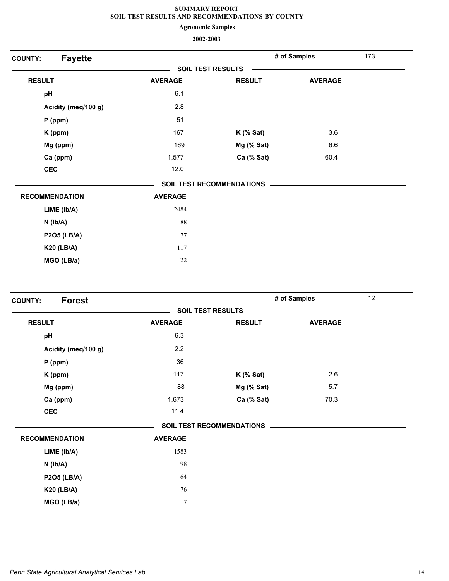**Agronomic Samples**

| <b>Fayette</b><br><b>COUNTY:</b> |                |                                  | # of Samples   | 173 |
|----------------------------------|----------------|----------------------------------|----------------|-----|
|                                  |                | <b>SOIL TEST RESULTS</b>         |                |     |
| <b>RESULT</b>                    | <b>AVERAGE</b> | <b>RESULT</b>                    | <b>AVERAGE</b> |     |
| pH                               | 6.1            |                                  |                |     |
| Acidity (meq/100 g)              | 2.8            |                                  |                |     |
| $P$ (ppm)                        | 51             |                                  |                |     |
| K (ppm)                          | 167            | $K$ (% Sat)                      | 3.6            |     |
| Mg (ppm)                         | 169            | Mg (% Sat)                       | 6.6            |     |
| Ca (ppm)                         | 1,577          | Ca (% Sat)                       | 60.4           |     |
| <b>CEC</b>                       | 12.0           |                                  |                |     |
|                                  |                | <b>SOIL TEST RECOMMENDATIONS</b> |                |     |
| <b>RECOMMENDATION</b>            | <b>AVERAGE</b> |                                  |                |     |
| LIME (Ib/A)                      | 2484           |                                  |                |     |
| $N$ ( $Ib/A$ )                   | 88             |                                  |                |     |
| P2O5 (LB/A)                      | 77             |                                  |                |     |
| <b>K20 (LB/A)</b>                | 117            |                                  |                |     |
| MGO (LB/a)                       | $22\,$         |                                  |                |     |

| <b>Forest</b><br><b>COUNTY:</b> |                          |                           | # of Samples   | 12 |
|---------------------------------|--------------------------|---------------------------|----------------|----|
|                                 | <b>SOIL TEST RESULTS</b> |                           |                |    |
| <b>RESULT</b>                   | <b>AVERAGE</b>           | <b>RESULT</b>             | <b>AVERAGE</b> |    |
| pH                              | 6.3                      |                           |                |    |
| Acidity (meq/100 g)             | 2.2                      |                           |                |    |
| $P$ (ppm)                       | 36                       |                           |                |    |
| K (ppm)                         | 117                      | $K$ (% Sat)               | 2.6            |    |
| Mg (ppm)                        | 88                       | Mg (% Sat)                | 5.7            |    |
| Ca (ppm)                        | 1,673                    | Ca (% Sat)                | 70.3           |    |
| <b>CEC</b>                      | 11.4                     |                           |                |    |
|                                 |                          | SOIL TEST RECOMMENDATIONS |                |    |
| <b>RECOMMENDATION</b>           | <b>AVERAGE</b>           |                           |                |    |
| LIME (Ib/A)                     | 1583                     |                           |                |    |
| $N$ ( $Ib/A$ )                  | 98                       |                           |                |    |
| <b>P2O5 (LB/A)</b>              | 64                       |                           |                |    |
| <b>K20 (LB/A)</b>               | 76                       |                           |                |    |
| MGO (LB/a)                      | $\overline{7}$           |                           |                |    |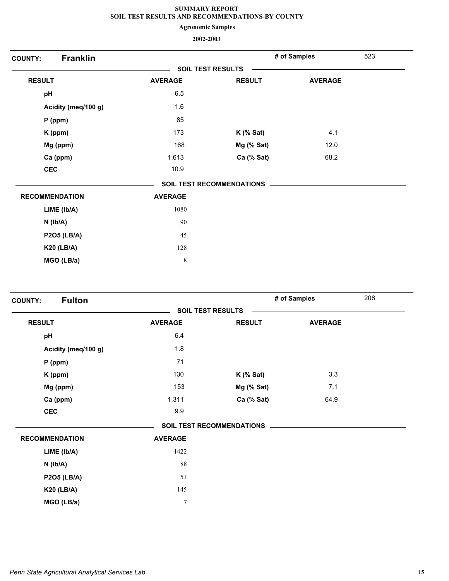**Agronomic Samples**

| <b>Franklin</b><br><b>COUNTY:</b> |                |                                  | # of Samples   | 523 |
|-----------------------------------|----------------|----------------------------------|----------------|-----|
|                                   |                | <b>SOIL TEST RESULTS</b>         |                |     |
| <b>RESULT</b>                     | <b>AVERAGE</b> | <b>RESULT</b>                    | <b>AVERAGE</b> |     |
| pH                                | 6.5            |                                  |                |     |
| Acidity (meq/100 g)               | 1.6            |                                  |                |     |
| P (ppm)                           | 85             |                                  |                |     |
| K (ppm)                           | 173            | $K$ (% Sat)                      | 4.1            |     |
| Mg (ppm)                          | 168            | Mg (% Sat)                       | 12.0           |     |
| Ca (ppm)                          | 1,613          | Ca (% Sat)                       | 68.2           |     |
| <b>CEC</b>                        | 10.9           |                                  |                |     |
|                                   |                | <b>SOIL TEST RECOMMENDATIONS</b> |                |     |
| <b>RECOMMENDATION</b>             | <b>AVERAGE</b> |                                  |                |     |
| LIME (Ib/A)                       | 1080           |                                  |                |     |
| $N$ ( $Ib/A$ )                    | 90             |                                  |                |     |
| <b>P2O5 (LB/A)</b>                | 45             |                                  |                |     |
| <b>K20 (LB/A)</b>                 | 128            |                                  |                |     |
| MGO (LB/a)                        | $\,$ 8 $\,$    |                                  |                |     |

| <b>Fulton</b><br><b>COUNTY:</b> |                          |                                  | # of Samples   | 206 |
|---------------------------------|--------------------------|----------------------------------|----------------|-----|
|                                 | <b>SOIL TEST RESULTS</b> |                                  |                |     |
| <b>RESULT</b>                   | <b>AVERAGE</b>           | <b>RESULT</b>                    | <b>AVERAGE</b> |     |
| pH                              | 6.4                      |                                  |                |     |
| Acidity (meq/100 g)             | 1.8                      |                                  |                |     |
| $P$ (ppm)                       | 71                       |                                  |                |     |
| K (ppm)                         | 130                      | $K$ (% Sat)                      | 3.3            |     |
| Mg (ppm)                        | 153                      | Mg (% Sat)                       | 7.1            |     |
| Ca (ppm)                        | 1,311                    | Ca (% Sat)                       | 64.9           |     |
| <b>CEC</b>                      | 9.9                      |                                  |                |     |
|                                 |                          | <b>SOIL TEST RECOMMENDATIONS</b> |                |     |
| <b>RECOMMENDATION</b>           | <b>AVERAGE</b>           |                                  |                |     |
| LIME (lb/A)                     | 1422                     |                                  |                |     |
| $N$ ( $Ib/A$ )                  | 88                       |                                  |                |     |
| <b>P2O5 (LB/A)</b>              | 51                       |                                  |                |     |
| <b>K20 (LB/A)</b>               | 145                      |                                  |                |     |
| MGO (LB/a)                      | $\boldsymbol{7}$         |                                  |                |     |
|                                 |                          |                                  |                |     |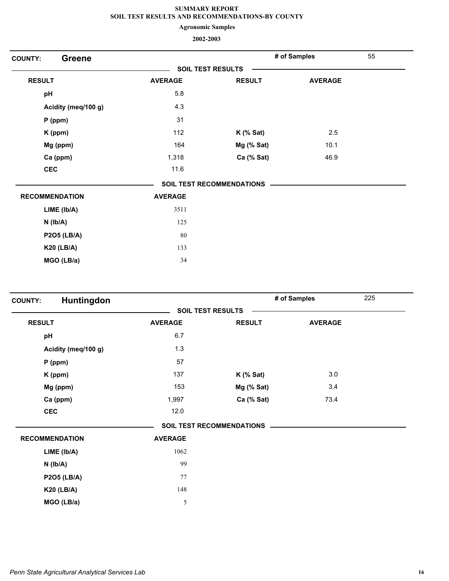**Agronomic Samples**

| <b>Greene</b><br><b>COUNTY:</b> |                |                                  | # of Samples   | 55 |
|---------------------------------|----------------|----------------------------------|----------------|----|
|                                 |                | <b>SOIL TEST RESULTS</b>         |                |    |
| <b>RESULT</b>                   | <b>AVERAGE</b> | <b>RESULT</b>                    | <b>AVERAGE</b> |    |
| pH                              | 5.8            |                                  |                |    |
| Acidity (meq/100 g)             | 4.3            |                                  |                |    |
| P (ppm)                         | 31             |                                  |                |    |
| K (ppm)                         | 112            | $K$ (% Sat)                      | 2.5            |    |
| Mg (ppm)                        | 164            | Mg (% Sat)                       | 10.1           |    |
| Ca (ppm)                        | 1,318          | Ca (% Sat)                       | 46.9           |    |
| <b>CEC</b>                      | 11.6           |                                  |                |    |
|                                 |                | <b>SOIL TEST RECOMMENDATIONS</b> |                |    |
| <b>RECOMMENDATION</b>           | <b>AVERAGE</b> |                                  |                |    |
| LIME (Ib/A)                     | 3511           |                                  |                |    |
| $N$ ( $Ib/A$ )                  | 125            |                                  |                |    |
| <b>P2O5 (LB/A)</b>              | 80             |                                  |                |    |
| <b>K20 (LB/A)</b>               | 133            |                                  |                |    |
| MGO (LB/a)                      | 34             |                                  |                |    |

| Huntingdon<br><b>COUNTY:</b> |                          |                                  | # of Samples   | 225 |
|------------------------------|--------------------------|----------------------------------|----------------|-----|
|                              | <b>SOIL TEST RESULTS</b> |                                  |                |     |
| <b>RESULT</b>                | <b>AVERAGE</b>           | <b>RESULT</b>                    | <b>AVERAGE</b> |     |
| pH                           | 6.7                      |                                  |                |     |
| Acidity (meq/100 g)          | 1.3                      |                                  |                |     |
| $P$ (ppm)                    | 57                       |                                  |                |     |
| K (ppm)                      | 137                      | $K$ (% Sat)                      | 3.0            |     |
| Mg (ppm)                     | 153                      | Mg (% Sat)                       | 3.4            |     |
| Ca (ppm)                     | 1,997                    | Ca (% Sat)                       | 73.4           |     |
| <b>CEC</b>                   | 12.0                     |                                  |                |     |
|                              |                          | <b>SOIL TEST RECOMMENDATIONS</b> |                |     |
| <b>RECOMMENDATION</b>        | <b>AVERAGE</b>           |                                  |                |     |
| LIME (lb/A)                  | 1062                     |                                  |                |     |
| $N$ ( $lb/A$ )               | 99                       |                                  |                |     |
| <b>P2O5 (LB/A)</b>           | 77                       |                                  |                |     |
| <b>K20 (LB/A)</b>            | 148                      |                                  |                |     |
| MGO (LB/a)                   | 5                        |                                  |                |     |
|                              |                          |                                  |                |     |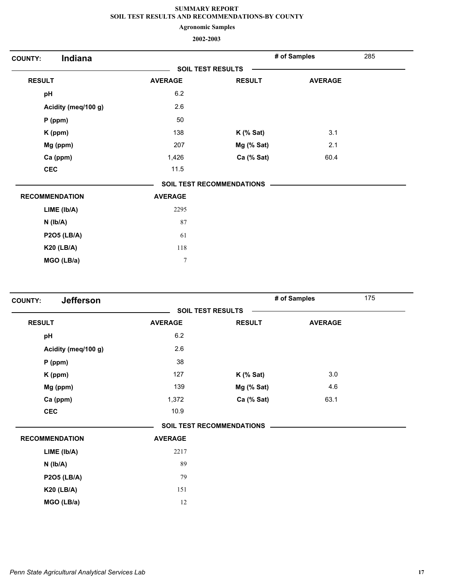**Agronomic Samples**

| Indiana<br><b>COUNTY:</b> |                  |                                  | # of Samples   | 285 |
|---------------------------|------------------|----------------------------------|----------------|-----|
|                           |                  | <b>SOIL TEST RESULTS</b>         |                |     |
| <b>RESULT</b>             | <b>AVERAGE</b>   | <b>RESULT</b>                    | <b>AVERAGE</b> |     |
| pH                        | 6.2              |                                  |                |     |
| Acidity (meq/100 g)       | 2.6              |                                  |                |     |
| $P$ (ppm)                 | 50               |                                  |                |     |
| K (ppm)                   | 138              | $K$ (% Sat)                      | 3.1            |     |
| Mg (ppm)                  | 207              | Mg (% Sat)                       | 2.1            |     |
| Ca (ppm)                  | 1,426            | Ca (% Sat)                       | 60.4           |     |
| <b>CEC</b>                | 11.5             |                                  |                |     |
|                           |                  | <b>SOIL TEST RECOMMENDATIONS</b> |                |     |
| <b>RECOMMENDATION</b>     | <b>AVERAGE</b>   |                                  |                |     |
| LIME (Ib/A)               | 2295             |                                  |                |     |
| $N$ ( $lb/A$ )            | 87               |                                  |                |     |
| <b>P2O5 (LB/A)</b>        | 61               |                                  |                |     |
| <b>K20 (LB/A)</b>         | 118              |                                  |                |     |
| MGO (LB/a)                | $\boldsymbol{7}$ |                                  |                |     |

| <b>Jefferson</b><br><b>COUNTY:</b> |                |                                  | # of Samples   | 175 |
|------------------------------------|----------------|----------------------------------|----------------|-----|
|                                    |                | <b>SOIL TEST RESULTS</b>         |                |     |
| <b>RESULT</b>                      | <b>AVERAGE</b> | <b>RESULT</b>                    | <b>AVERAGE</b> |     |
| pH                                 | 6.2            |                                  |                |     |
| Acidity (meq/100 g)                | 2.6            |                                  |                |     |
| $P$ (ppm)                          | 38             |                                  |                |     |
| K (ppm)                            | 127            | $K$ (% Sat)                      | 3.0            |     |
| Mg (ppm)                           | 139            | Mg (% Sat)                       | 4.6            |     |
| Ca (ppm)                           | 1,372          | Ca (% Sat)                       | 63.1           |     |
| <b>CEC</b>                         | 10.9           |                                  |                |     |
|                                    |                | <b>SOIL TEST RECOMMENDATIONS</b> |                |     |
| <b>RECOMMENDATION</b>              | <b>AVERAGE</b> |                                  |                |     |
| LIME (lb/A)                        | 2217           |                                  |                |     |
| $N$ ( $lb/A$ )                     | 89             |                                  |                |     |
| <b>P2O5 (LB/A)</b>                 | 79             |                                  |                |     |
| <b>K20 (LB/A)</b>                  | 151            |                                  |                |     |
| MGO (LB/a)                         | 12             |                                  |                |     |
|                                    |                |                                  |                |     |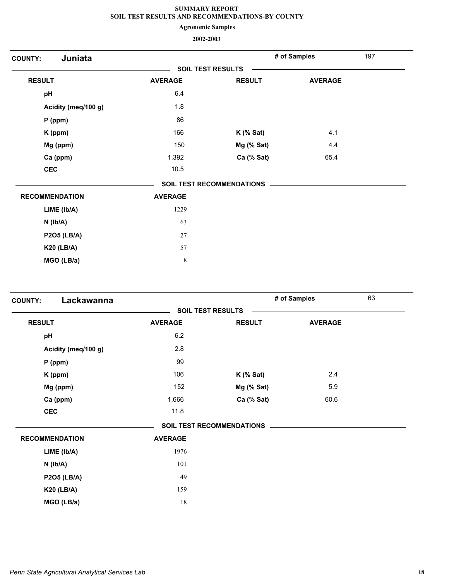**Agronomic Samples**

| Juniata<br><b>COUNTY:</b> |                          |                                  | # of Samples   | 197 |
|---------------------------|--------------------------|----------------------------------|----------------|-----|
|                           | <b>SOIL TEST RESULTS</b> |                                  |                |     |
| <b>RESULT</b>             | <b>AVERAGE</b>           | <b>RESULT</b>                    | <b>AVERAGE</b> |     |
| pH                        | 6.4                      |                                  |                |     |
| Acidity (meq/100 g)       | 1.8                      |                                  |                |     |
| $P$ (ppm)                 | 86                       |                                  |                |     |
| K (ppm)                   | 166                      | $K$ (% Sat)                      | 4.1            |     |
| Mg (ppm)                  | 150                      | Mg (% Sat)                       | 4.4            |     |
| Ca (ppm)                  | 1,392                    | Ca (% Sat)                       | 65.4           |     |
| <b>CEC</b>                | 10.5                     |                                  |                |     |
|                           |                          | <b>SOIL TEST RECOMMENDATIONS</b> |                |     |
| <b>RECOMMENDATION</b>     | <b>AVERAGE</b>           |                                  |                |     |
| LIME (lb/A)               | 1229                     |                                  |                |     |
| $N$ ( $lb/A$ )            | 63                       |                                  |                |     |
| <b>P2O5 (LB/A)</b>        | 27                       |                                  |                |     |
| <b>K20 (LB/A)</b>         | 57                       |                                  |                |     |
| MGO (LB/a)                | $\,8\,$                  |                                  |                |     |

| Lackawanna<br><b>COUNTY:</b> |                |                                  | # of Samples   | 63 |
|------------------------------|----------------|----------------------------------|----------------|----|
|                              |                | <b>SOIL TEST RESULTS</b>         |                |    |
| <b>RESULT</b>                | <b>AVERAGE</b> | <b>RESULT</b>                    | <b>AVERAGE</b> |    |
| pH                           | 6.2            |                                  |                |    |
| Acidity (meq/100 g)          | 2.8            |                                  |                |    |
| $P$ (ppm)                    | 99             |                                  |                |    |
| K (ppm)                      | 106            | $K$ (% Sat)                      | 2.4            |    |
| Mg (ppm)                     | 152            | Mg (% Sat)                       | 5.9            |    |
| Ca (ppm)                     | 1,666          | Ca (% Sat)                       | 60.6           |    |
| <b>CEC</b>                   | 11.8           |                                  |                |    |
|                              |                | <b>SOIL TEST RECOMMENDATIONS</b> |                |    |
| <b>RECOMMENDATION</b>        | <b>AVERAGE</b> |                                  |                |    |
| LIME (lb/A)                  | 1976           |                                  |                |    |
| $N$ ( $Ib/A$ )               | 101            |                                  |                |    |
| <b>P2O5 (LB/A)</b>           | 49             |                                  |                |    |
| <b>K20 (LB/A)</b>            | 159            |                                  |                |    |
| MGO (LB/a)                   | 18             |                                  |                |    |
|                              |                |                                  |                |    |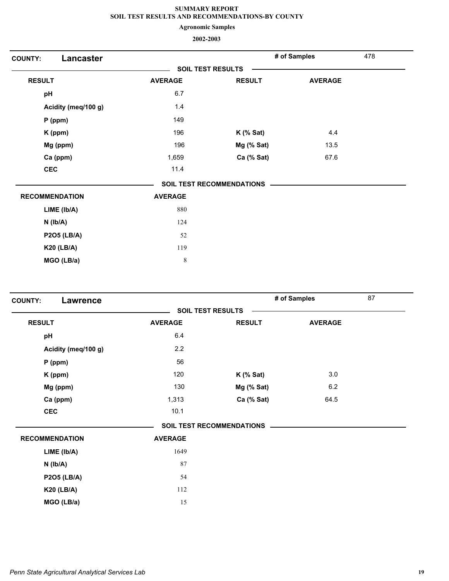**Agronomic Samples**

| Lancaster<br><b>COUNTY:</b> |                |                                  | # of Samples   | 478 |
|-----------------------------|----------------|----------------------------------|----------------|-----|
|                             |                | <b>SOIL TEST RESULTS</b>         |                |     |
| <b>RESULT</b>               | <b>AVERAGE</b> | <b>RESULT</b>                    | <b>AVERAGE</b> |     |
| pH                          | 6.7            |                                  |                |     |
| Acidity (meq/100 g)         | 1.4            |                                  |                |     |
| P (ppm)                     | 149            |                                  |                |     |
| K (ppm)                     | 196            | $K$ (% Sat)                      | 4.4            |     |
| Mg (ppm)                    | 196            | Mg (% Sat)                       | 13.5           |     |
| Ca (ppm)                    | 1,659          | Ca (% Sat)                       | 67.6           |     |
| <b>CEC</b>                  | 11.4           |                                  |                |     |
|                             |                | <b>SOIL TEST RECOMMENDATIONS</b> |                |     |
| <b>RECOMMENDATION</b>       | <b>AVERAGE</b> |                                  |                |     |
| LIME (Ib/A)                 | 880            |                                  |                |     |
| $N$ ( $Ib/A$ )              | 124            |                                  |                |     |
| <b>P2O5 (LB/A)</b>          | 52             |                                  |                |     |
| <b>K20 (LB/A)</b>           | 119            |                                  |                |     |
| MGO (LB/a)                  | $\,$ 8 $\,$    |                                  |                |     |

| <b>COUNTY:</b><br><b>Lawrence</b> |                          |                                  | # of Samples   | 87 |  |
|-----------------------------------|--------------------------|----------------------------------|----------------|----|--|
|                                   | <b>SOIL TEST RESULTS</b> |                                  |                |    |  |
| <b>RESULT</b>                     | <b>AVERAGE</b>           | <b>RESULT</b>                    | <b>AVERAGE</b> |    |  |
| pH                                | 6.4                      |                                  |                |    |  |
| Acidity (meq/100 g)               | 2.2                      |                                  |                |    |  |
| $P$ (ppm)                         | 56                       |                                  |                |    |  |
| K (ppm)                           | 120                      | $K$ (% Sat)                      | 3.0            |    |  |
| Mg (ppm)                          | 130                      | Mg (% Sat)                       | 6.2            |    |  |
| Ca (ppm)                          | 1,313                    | Ca (% Sat)                       | 64.5           |    |  |
| <b>CEC</b>                        | 10.1                     |                                  |                |    |  |
|                                   |                          | <b>SOIL TEST RECOMMENDATIONS</b> |                |    |  |
| <b>RECOMMENDATION</b>             | <b>AVERAGE</b>           |                                  |                |    |  |
| LIME (Ib/A)                       | 1649                     |                                  |                |    |  |
| $N$ ( $Ib/A$ )                    | 87                       |                                  |                |    |  |
| <b>P2O5 (LB/A)</b>                | 54                       |                                  |                |    |  |
| <b>K20 (LB/A)</b>                 | 112                      |                                  |                |    |  |
| MGO (LB/a)                        | 15                       |                                  |                |    |  |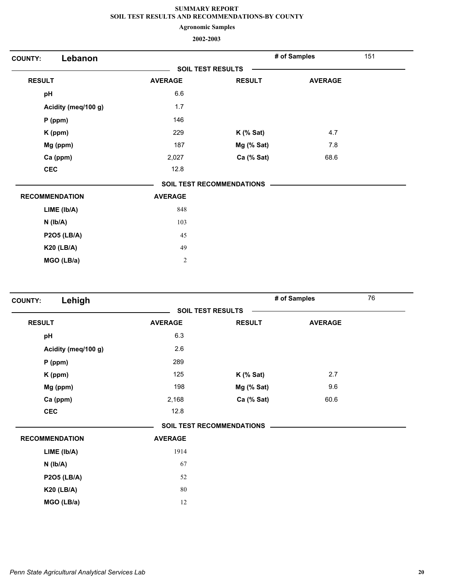**Agronomic Samples**

| Lebanon<br><b>COUNTY:</b> |                          |                                  | # of Samples   | 151 |
|---------------------------|--------------------------|----------------------------------|----------------|-----|
|                           | <b>SOIL TEST RESULTS</b> |                                  |                |     |
| <b>RESULT</b>             | <b>AVERAGE</b>           | <b>RESULT</b>                    | <b>AVERAGE</b> |     |
| pH                        | 6.6                      |                                  |                |     |
| Acidity (meq/100 g)       | 1.7                      |                                  |                |     |
| $P$ (ppm)                 | 146                      |                                  |                |     |
| K (ppm)                   | 229                      | $K$ (% Sat)                      | 4.7            |     |
| Mg (ppm)                  | 187                      | Mg (% Sat)                       | 7.8            |     |
| Ca (ppm)                  | 2,027                    | Ca (% Sat)                       | 68.6           |     |
| <b>CEC</b>                | 12.8                     |                                  |                |     |
|                           |                          | <b>SOIL TEST RECOMMENDATIONS</b> |                |     |
| <b>RECOMMENDATION</b>     | <b>AVERAGE</b>           |                                  |                |     |
| LIME (Ib/A)               | 848                      |                                  |                |     |
| $N$ ( $Ib/A$ )            | 103                      |                                  |                |     |
| <b>P2O5 (LB/A)</b>        | 45                       |                                  |                |     |
| <b>K20 (LB/A)</b>         | 49                       |                                  |                |     |
| MGO (LB/a)                | $\overline{2}$           |                                  |                |     |

| Lehigh<br><b>COUNTY:</b> |                |                                  | # of Samples   | 76 |
|--------------------------|----------------|----------------------------------|----------------|----|
|                          |                | <b>SOIL TEST RESULTS</b>         |                |    |
| <b>RESULT</b>            | <b>AVERAGE</b> | <b>RESULT</b>                    | <b>AVERAGE</b> |    |
| pH                       | 6.3            |                                  |                |    |
| Acidity (meq/100 g)      | 2.6            |                                  |                |    |
| $P$ (ppm)                | 289            |                                  |                |    |
| K (ppm)                  | 125            | $K$ (% Sat)                      | 2.7            |    |
| Mg (ppm)                 | 198            | Mg (% Sat)                       | 9.6            |    |
| Ca (ppm)                 | 2,168          | Ca (% Sat)                       | 60.6           |    |
| <b>CEC</b>               | 12.8           |                                  |                |    |
|                          |                | <b>SOIL TEST RECOMMENDATIONS</b> |                |    |
| <b>RECOMMENDATION</b>    | <b>AVERAGE</b> |                                  |                |    |
| LIME (Ib/A)              | 1914           |                                  |                |    |
| $N$ ( $Ib/A$ )           | 67             |                                  |                |    |
| <b>P2O5 (LB/A)</b>       | 52             |                                  |                |    |
| <b>K20 (LB/A)</b>        | 80             |                                  |                |    |
| MGO (LB/a)               | 12             |                                  |                |    |
|                          |                |                                  |                |    |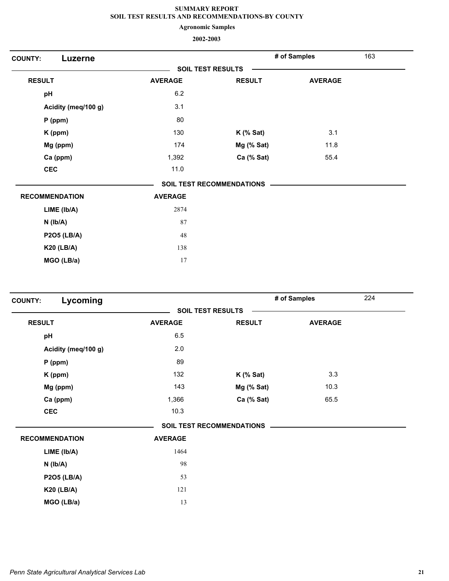**Agronomic Samples**

| Luzerne<br><b>COUNTY:</b> |                          |                                  | # of Samples   | 163 |
|---------------------------|--------------------------|----------------------------------|----------------|-----|
|                           | <b>SOIL TEST RESULTS</b> |                                  |                |     |
| <b>RESULT</b>             | <b>AVERAGE</b>           | <b>RESULT</b>                    | <b>AVERAGE</b> |     |
| pH                        | 6.2                      |                                  |                |     |
| Acidity (meq/100 g)       | 3.1                      |                                  |                |     |
| $P$ (ppm)                 | 80                       |                                  |                |     |
| K (ppm)                   | 130                      | $K$ (% Sat)                      | 3.1            |     |
| Mg (ppm)                  | 174                      | Mg (% Sat)                       | 11.8           |     |
| Ca (ppm)                  | 1,392                    | Ca (% Sat)                       | 55.4           |     |
| <b>CEC</b>                | 11.0                     |                                  |                |     |
|                           |                          | <b>SOIL TEST RECOMMENDATIONS</b> |                |     |
| <b>RECOMMENDATION</b>     | <b>AVERAGE</b>           |                                  |                |     |
| LIME (Ib/A)               | 2874                     |                                  |                |     |
| $N$ ( $lb/A$ )            | 87                       |                                  |                |     |
| <b>P2O5 (LB/A)</b>        | 48                       |                                  |                |     |
| <b>K20 (LB/A)</b>         | 138                      |                                  |                |     |
| MGO (LB/a)                | 17                       |                                  |                |     |

| Lycoming<br><b>COUNTY:</b> |                |                                  | # of Samples   | 224 |
|----------------------------|----------------|----------------------------------|----------------|-----|
|                            |                | <b>SOIL TEST RESULTS</b>         |                |     |
| <b>RESULT</b>              | <b>AVERAGE</b> | <b>RESULT</b>                    | <b>AVERAGE</b> |     |
| pH                         | 6.5            |                                  |                |     |
| Acidity (meq/100 g)        | 2.0            |                                  |                |     |
| $P$ (ppm)                  | 89             |                                  |                |     |
| K (ppm)                    | 132            | $K$ (% Sat)                      | 3.3            |     |
| Mg (ppm)                   | 143            | Mg (% Sat)                       | 10.3           |     |
| Ca (ppm)                   | 1,366          | Ca (% Sat)                       | 65.5           |     |
| <b>CEC</b>                 | 10.3           |                                  |                |     |
|                            |                | <b>SOIL TEST RECOMMENDATIONS</b> |                |     |
| <b>RECOMMENDATION</b>      | <b>AVERAGE</b> |                                  |                |     |
| LIME (Ib/A)                | 1464           |                                  |                |     |
| $N$ ( $Ib/A$ )             | 98             |                                  |                |     |
| <b>P2O5 (LB/A)</b>         | 53             |                                  |                |     |
| <b>K20 (LB/A)</b>          | 121            |                                  |                |     |
| MGO (LB/a)                 | 13             |                                  |                |     |
|                            |                |                                  |                |     |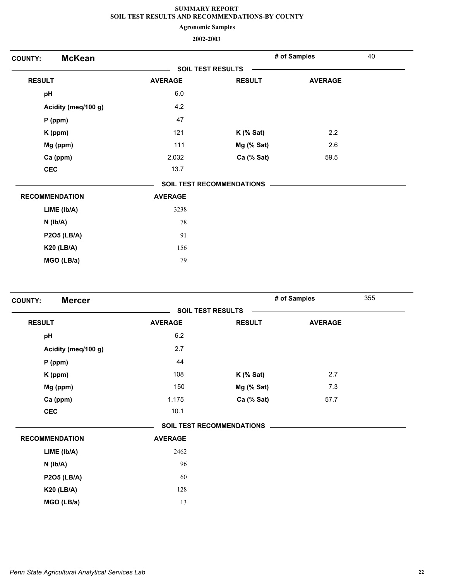**Agronomic Samples**

| <b>McKean</b><br><b>COUNTY:</b> |                |                           | # of Samples   | 40 |  |
|---------------------------------|----------------|---------------------------|----------------|----|--|
|                                 |                | <b>SOIL TEST RESULTS</b>  |                |    |  |
| <b>RESULT</b>                   | <b>AVERAGE</b> | <b>RESULT</b>             | <b>AVERAGE</b> |    |  |
| pH                              | 6.0            |                           |                |    |  |
| Acidity (meq/100 g)             | 4.2            |                           |                |    |  |
| $P$ (ppm)                       | 47             |                           |                |    |  |
| K (ppm)                         | 121            | $K$ (% Sat)               | 2.2            |    |  |
| Mg (ppm)                        | 111            | Mg (% Sat)                | 2.6            |    |  |
| Ca (ppm)                        | 2,032          | Ca (% Sat)                | 59.5           |    |  |
| <b>CEC</b>                      | 13.7           |                           |                |    |  |
|                                 |                | SOIL TEST RECOMMENDATIONS |                |    |  |
| <b>RECOMMENDATION</b>           | <b>AVERAGE</b> |                           |                |    |  |
| LIME (Ib/A)                     | 3238           |                           |                |    |  |
| $N$ ( $Ib/A$ )                  | 78             |                           |                |    |  |
| <b>P2O5 (LB/A)</b>              | 91             |                           |                |    |  |
| <b>K20 (LB/A)</b>               | 156            |                           |                |    |  |
| MGO (LB/a)                      | 79             |                           |                |    |  |

| <b>Mercer</b><br><b>COUNTY:</b> |                |                                  | # of Samples   | 355 |
|---------------------------------|----------------|----------------------------------|----------------|-----|
|                                 |                | <b>SOIL TEST RESULTS</b>         |                |     |
| <b>RESULT</b>                   | <b>AVERAGE</b> | <b>RESULT</b>                    | <b>AVERAGE</b> |     |
| pH                              | 6.2            |                                  |                |     |
| Acidity (meq/100 g)             | 2.7            |                                  |                |     |
| $P$ (ppm)                       | 44             |                                  |                |     |
| K (ppm)                         | 108            | $K$ (% Sat)                      | 2.7            |     |
| Mg (ppm)                        | 150            | Mg (% Sat)                       | 7.3            |     |
| Ca (ppm)                        | 1,175          | Ca (% Sat)                       | 57.7           |     |
| <b>CEC</b>                      | 10.1           |                                  |                |     |
|                                 |                | <b>SOIL TEST RECOMMENDATIONS</b> |                |     |
| <b>RECOMMENDATION</b>           | <b>AVERAGE</b> |                                  |                |     |
| LIME (Ib/A)                     | 2462           |                                  |                |     |
| $N$ ( $lb/A$ )                  | 96             |                                  |                |     |
| <b>P2O5 (LB/A)</b>              | 60             |                                  |                |     |
| <b>K20 (LB/A)</b>               | 128            |                                  |                |     |
| MGO (LB/a)                      | 13             |                                  |                |     |
|                                 |                |                                  |                |     |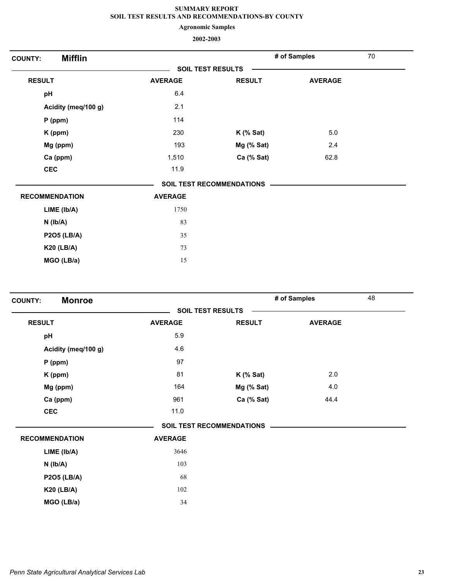**Agronomic Samples**

| <b>Mifflin</b><br><b>COUNTY:</b> |                |                                  | # of Samples   | 70 |
|----------------------------------|----------------|----------------------------------|----------------|----|
|                                  |                | <b>SOIL TEST RESULTS</b>         |                |    |
| <b>RESULT</b>                    | <b>AVERAGE</b> | <b>RESULT</b>                    | <b>AVERAGE</b> |    |
| pH                               | 6.4            |                                  |                |    |
| Acidity (meq/100 g)              | 2.1            |                                  |                |    |
| $P$ (ppm)                        | 114            |                                  |                |    |
| K (ppm)                          | 230            | $K$ (% Sat)                      | 5.0            |    |
| Mg (ppm)                         | 193            | Mg (% Sat)                       | 2.4            |    |
| Ca (ppm)                         | 1,510          | Ca (% Sat)                       | 62.8           |    |
| <b>CEC</b>                       | 11.9           |                                  |                |    |
|                                  |                | <b>SOIL TEST RECOMMENDATIONS</b> |                |    |
| <b>RECOMMENDATION</b>            | <b>AVERAGE</b> |                                  |                |    |
| LIME (Ib/A)                      | 1750           |                                  |                |    |
| $N$ ( $lb/A$ )                   | 83             |                                  |                |    |
| <b>P2O5 (LB/A)</b>               | 35             |                                  |                |    |
| <b>K20 (LB/A)</b>                | 73             |                                  |                |    |
| MGO (LB/a)                       | 15             |                                  |                |    |

| <b>Monroe</b><br><b>COUNTY:</b> |                |                                  | # of Samples   | 48 |
|---------------------------------|----------------|----------------------------------|----------------|----|
|                                 |                | <b>SOIL TEST RESULTS</b>         |                |    |
| <b>RESULT</b>                   | <b>AVERAGE</b> | <b>RESULT</b>                    | <b>AVERAGE</b> |    |
| pH                              | 5.9            |                                  |                |    |
| Acidity (meq/100 g)             | 4.6            |                                  |                |    |
| $P$ (ppm)                       | 97             |                                  |                |    |
| K (ppm)                         | 81             | $K$ (% Sat)                      | 2.0            |    |
| Mg (ppm)                        | 164            | Mg (% Sat)                       | 4.0            |    |
| Ca (ppm)                        | 961            | Ca (% Sat)                       | 44.4           |    |
| <b>CEC</b>                      | 11.0           |                                  |                |    |
|                                 |                | <b>SOIL TEST RECOMMENDATIONS</b> |                |    |
| <b>RECOMMENDATION</b>           | <b>AVERAGE</b> |                                  |                |    |
| LIME (Ib/A)                     | 3646           |                                  |                |    |
| $N$ ( $lb/A$ )                  | 103            |                                  |                |    |
| <b>P2O5 (LB/A)</b>              | 68             |                                  |                |    |
| <b>K20 (LB/A)</b>               | 102            |                                  |                |    |
| MGO (LB/a)                      | 34             |                                  |                |    |
|                                 |                |                                  |                |    |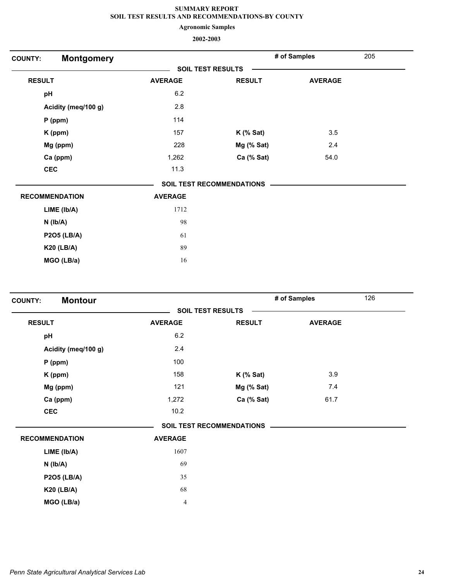**Agronomic Samples**

| <b>COUNTY:</b> | <b>Montgomery</b>     |                          |                                  | # of Samples   | 205 |  |  |
|----------------|-----------------------|--------------------------|----------------------------------|----------------|-----|--|--|
|                |                       | <b>SOIL TEST RESULTS</b> |                                  |                |     |  |  |
| <b>RESULT</b>  |                       | <b>AVERAGE</b>           | <b>RESULT</b>                    | <b>AVERAGE</b> |     |  |  |
| pH             |                       | $6.2\,$                  |                                  |                |     |  |  |
|                | Acidity (meq/100 g)   | 2.8                      |                                  |                |     |  |  |
|                | $P$ (ppm)             | 114                      |                                  |                |     |  |  |
|                | K (ppm)               | 157                      | $K$ (% Sat)                      | 3.5            |     |  |  |
|                | Mg (ppm)              | 228                      | Mg (% Sat)                       | 2.4            |     |  |  |
|                | Ca (ppm)              | 1,262                    | Ca (% Sat)                       | 54.0           |     |  |  |
|                | <b>CEC</b>            | 11.3                     |                                  |                |     |  |  |
|                |                       |                          | <b>SOIL TEST RECOMMENDATIONS</b> |                |     |  |  |
|                | <b>RECOMMENDATION</b> | <b>AVERAGE</b>           |                                  |                |     |  |  |
|                | LIME (lb/A)           | 1712                     |                                  |                |     |  |  |
|                | $N$ ( $lb/A$ )        | 98                       |                                  |                |     |  |  |
|                | <b>P2O5 (LB/A)</b>    | 61                       |                                  |                |     |  |  |
|                | <b>K20 (LB/A)</b>     | 89                       |                                  |                |     |  |  |
|                | MGO (LB/a)            | 16                       |                                  |                |     |  |  |
|                |                       |                          |                                  |                |     |  |  |

| <b>Montour</b><br><b>COUNTY:</b> |                |                                  | # of Samples   | 126 |
|----------------------------------|----------------|----------------------------------|----------------|-----|
|                                  |                | <b>SOIL TEST RESULTS</b>         |                |     |
| <b>RESULT</b>                    | <b>AVERAGE</b> | <b>RESULT</b>                    | <b>AVERAGE</b> |     |
| pH                               | 6.2            |                                  |                |     |
| Acidity (meq/100 g)              | 2.4            |                                  |                |     |
| $P$ (ppm)                        | 100            |                                  |                |     |
| K (ppm)                          | 158            | $K$ (% Sat)                      | 3.9            |     |
| Mg (ppm)                         | 121            | Mg (% Sat)                       | 7.4            |     |
| Ca (ppm)                         | 1,272          | Ca (% Sat)                       | 61.7           |     |
| <b>CEC</b>                       | 10.2           |                                  |                |     |
|                                  |                | <b>SOIL TEST RECOMMENDATIONS</b> |                |     |
| <b>RECOMMENDATION</b>            | <b>AVERAGE</b> |                                  |                |     |
| LIME (lb/A)                      | 1607           |                                  |                |     |
| $N$ ( $lb/A$ )                   | 69             |                                  |                |     |
| <b>P2O5 (LB/A)</b>               | 35             |                                  |                |     |
| <b>K20 (LB/A)</b>                | 68             |                                  |                |     |
| MGO (LB/a)                       | $\overline{4}$ |                                  |                |     |
|                                  |                |                                  |                |     |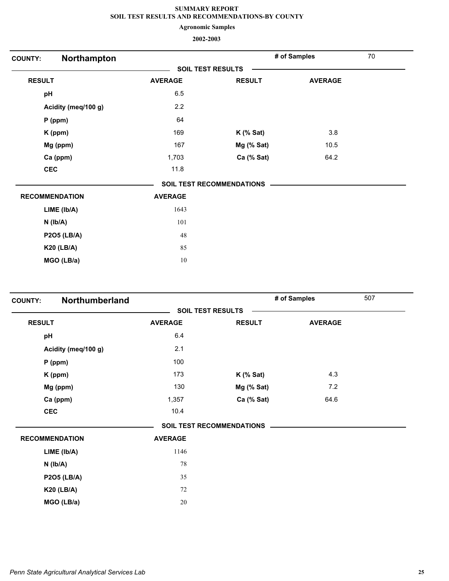**Agronomic Samples**

| <b>COUNTY:</b>        | Northampton         |                          |                                  | # of Samples   | 70 |
|-----------------------|---------------------|--------------------------|----------------------------------|----------------|----|
|                       |                     | <b>SOIL TEST RESULTS</b> |                                  |                |    |
| <b>RESULT</b>         |                     | <b>AVERAGE</b>           | <b>RESULT</b>                    | <b>AVERAGE</b> |    |
| pH                    |                     | 6.5                      |                                  |                |    |
|                       | Acidity (meq/100 g) | 2.2                      |                                  |                |    |
| $P$ (ppm)             |                     | 64                       |                                  |                |    |
| K (ppm)               |                     | 169                      | $K$ (% Sat)                      | 3.8            |    |
| Mg (ppm)              |                     | 167                      | Mg (% Sat)                       | 10.5           |    |
| Ca (ppm)              |                     | 1,703                    | Ca (% Sat)                       | 64.2           |    |
| <b>CEC</b>            |                     | 11.8                     |                                  |                |    |
|                       |                     |                          | <b>SOIL TEST RECOMMENDATIONS</b> |                |    |
| <b>RECOMMENDATION</b> |                     | <b>AVERAGE</b>           |                                  |                |    |
| LIME (Ib/A)           |                     | 1643                     |                                  |                |    |
| $N$ ( $lb/A$ )        |                     | 101                      |                                  |                |    |
| <b>P2O5 (LB/A)</b>    |                     | 48                       |                                  |                |    |
| <b>K20 (LB/A)</b>     |                     | 85                       |                                  |                |    |
| MGO (LB/a)            |                     | 10                       |                                  |                |    |

| <b>COUNTY:</b>        | Northumberland      |                |                                  | # of Samples   | 507 |
|-----------------------|---------------------|----------------|----------------------------------|----------------|-----|
|                       |                     |                | <b>SOIL TEST RESULTS</b>         |                |     |
| <b>RESULT</b>         |                     | <b>AVERAGE</b> | <b>RESULT</b>                    | <b>AVERAGE</b> |     |
| pH                    |                     | 6.4            |                                  |                |     |
|                       | Acidity (meq/100 g) | 2.1            |                                  |                |     |
|                       | $P$ (ppm)           | 100            |                                  |                |     |
|                       | K (ppm)             | 173            | $K$ (% Sat)                      | 4.3            |     |
|                       | Mg (ppm)            | 130            | Mg (% Sat)                       | 7.2            |     |
|                       | Ca (ppm)            | 1,357          | Ca (% Sat)                       | 64.6           |     |
| <b>CEC</b>            |                     | 10.4           |                                  |                |     |
|                       |                     |                | <b>SOIL TEST RECOMMENDATIONS</b> |                |     |
| <b>RECOMMENDATION</b> |                     | <b>AVERAGE</b> |                                  |                |     |
|                       | LIME (lb/A)         | 1146           |                                  |                |     |
|                       | $N$ ( $Ib/A$ )      | 78             |                                  |                |     |
|                       | <b>P2O5 (LB/A)</b>  | 35             |                                  |                |     |
|                       | <b>K20 (LB/A)</b>   | 72             |                                  |                |     |
|                       | MGO (LB/a)          | 20             |                                  |                |     |
|                       |                     |                |                                  |                |     |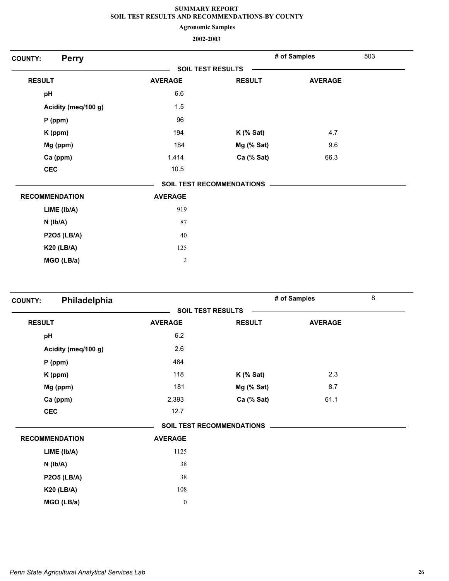**Agronomic Samples**

| <b>Perry</b><br><b>COUNTY:</b> |                |                                  | # of Samples   | 503 |
|--------------------------------|----------------|----------------------------------|----------------|-----|
|                                |                | <b>SOIL TEST RESULTS</b>         |                |     |
| <b>RESULT</b>                  | <b>AVERAGE</b> | <b>RESULT</b>                    | <b>AVERAGE</b> |     |
| pH                             | 6.6            |                                  |                |     |
| Acidity (meq/100 g)            | 1.5            |                                  |                |     |
| $P$ (ppm)                      | 96             |                                  |                |     |
| K (ppm)                        | 194            | $K$ (% Sat)                      | 4.7            |     |
| Mg (ppm)                       | 184            | Mg (% Sat)                       | 9.6            |     |
| Ca (ppm)                       | 1,414          | Ca (% Sat)                       | 66.3           |     |
| <b>CEC</b>                     | 10.5           |                                  |                |     |
|                                |                | <b>SOIL TEST RECOMMENDATIONS</b> |                |     |
| <b>RECOMMENDATION</b>          | <b>AVERAGE</b> |                                  |                |     |
| LIME (Ib/A)                    | 919            |                                  |                |     |
| $N$ ( $lb/A$ )                 | 87             |                                  |                |     |
| <b>P2O5 (LB/A)</b>             | 40             |                                  |                |     |
| <b>K20 (LB/A)</b>              | 125            |                                  |                |     |
| MGO (LB/a)                     | $\overline{2}$ |                                  |                |     |
|                                |                |                                  |                |     |

| <b>COUNTY:</b> | Philadelphia          |                  |                                  | # of Samples   | 8 |
|----------------|-----------------------|------------------|----------------------------------|----------------|---|
|                |                       |                  | <b>SOIL TEST RESULTS</b>         |                |   |
| <b>RESULT</b>  |                       | <b>AVERAGE</b>   | <b>RESULT</b>                    | <b>AVERAGE</b> |   |
| pH             |                       | 6.2              |                                  |                |   |
|                | Acidity (meq/100 g)   | 2.6              |                                  |                |   |
|                | $P$ (ppm)             | 484              |                                  |                |   |
|                | K (ppm)               | 118              | $K$ (% Sat)                      | 2.3            |   |
|                | Mg (ppm)              | 181              | Mg (% Sat)                       | 8.7            |   |
|                | Ca (ppm)              | 2,393            | Ca (% Sat)                       | 61.1           |   |
| <b>CEC</b>     |                       | 12.7             |                                  |                |   |
|                |                       |                  | <b>SOIL TEST RECOMMENDATIONS</b> |                |   |
|                | <b>RECOMMENDATION</b> | <b>AVERAGE</b>   |                                  |                |   |
|                | LIME (lb/A)           | 1125             |                                  |                |   |
|                | $N$ ( $lb/A$ )        | 38               |                                  |                |   |
|                | <b>P2O5 (LB/A)</b>    | 38               |                                  |                |   |
|                | <b>K20 (LB/A)</b>     | 108              |                                  |                |   |
|                | MGO (LB/a)            | $\boldsymbol{0}$ |                                  |                |   |
|                |                       |                  |                                  |                |   |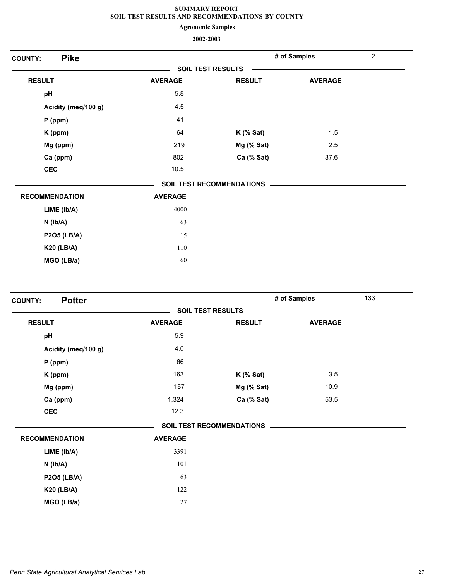**Agronomic Samples**

| <b>Pike</b><br><b>COUNTY:</b> |                |                                  | # of Samples   | $\overline{2}$ |
|-------------------------------|----------------|----------------------------------|----------------|----------------|
|                               |                | <b>SOIL TEST RESULTS</b>         |                |                |
| <b>RESULT</b>                 | <b>AVERAGE</b> | <b>RESULT</b>                    | <b>AVERAGE</b> |                |
| pH                            | 5.8            |                                  |                |                |
| Acidity (meq/100 g)           | 4.5            |                                  |                |                |
| $P$ (ppm)                     | 41             |                                  |                |                |
| K (ppm)                       | 64             | $K$ (% Sat)                      | 1.5            |                |
| Mg (ppm)                      | 219            | Mg (% Sat)                       | 2.5            |                |
| Ca (ppm)                      | 802            | Ca (% Sat)                       | 37.6           |                |
| <b>CEC</b>                    | 10.5           |                                  |                |                |
|                               |                | <b>SOIL TEST RECOMMENDATIONS</b> |                |                |
| <b>RECOMMENDATION</b>         | <b>AVERAGE</b> |                                  |                |                |
| LIME (Ib/A)                   | 4000           |                                  |                |                |
| $N$ ( $Ib/A$ )                | 63             |                                  |                |                |
| <b>P2O5 (LB/A)</b>            | 15             |                                  |                |                |
| <b>K20 (LB/A)</b>             | 110            |                                  |                |                |
| MGO (LB/a)                    | 60             |                                  |                |                |

| <b>Potter</b><br><b>COUNTY:</b> |                |                                  | # of Samples   | 133 |
|---------------------------------|----------------|----------------------------------|----------------|-----|
|                                 |                | <b>SOIL TEST RESULTS</b>         |                |     |
| <b>RESULT</b>                   | <b>AVERAGE</b> | <b>RESULT</b>                    | <b>AVERAGE</b> |     |
| pH                              | 5.9            |                                  |                |     |
| Acidity (meq/100 g)             | 4.0            |                                  |                |     |
| $P$ (ppm)                       | 66             |                                  |                |     |
| K (ppm)                         | 163            | $K$ (% Sat)                      | 3.5            |     |
| Mg (ppm)                        | 157            | Mg (% Sat)                       | 10.9           |     |
| Ca (ppm)                        | 1,324          | Ca (% Sat)                       | 53.5           |     |
| <b>CEC</b>                      | 12.3           |                                  |                |     |
|                                 |                | <b>SOIL TEST RECOMMENDATIONS</b> |                |     |
| <b>RECOMMENDATION</b>           | <b>AVERAGE</b> |                                  |                |     |
| LIME (Ib/A)                     | 3391           |                                  |                |     |
| $N$ ( $Ib/A$ )                  | 101            |                                  |                |     |
| <b>P2O5 (LB/A)</b>              | 63             |                                  |                |     |
| <b>K20 (LB/A)</b>               | 122            |                                  |                |     |
| MGO (LB/a)                      | 27             |                                  |                |     |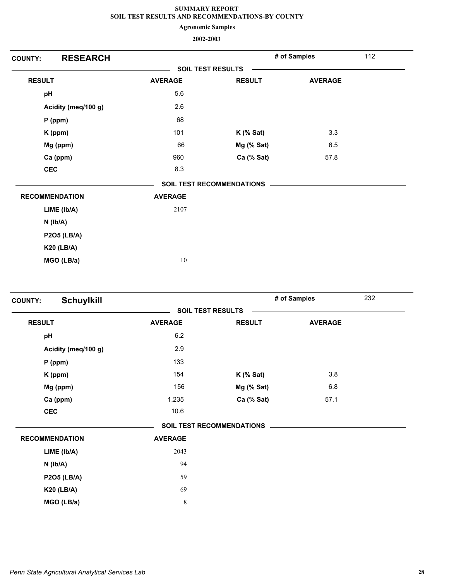**Agronomic Samples**

| <b>COUNTY:</b>        | <b>RESEARCH</b>     |                |                                  | # of Samples   | 112 |
|-----------------------|---------------------|----------------|----------------------------------|----------------|-----|
|                       |                     |                | <b>SOIL TEST RESULTS</b>         |                |     |
| <b>RESULT</b>         |                     | <b>AVERAGE</b> | <b>RESULT</b>                    | <b>AVERAGE</b> |     |
| pH                    |                     | 5.6            |                                  |                |     |
|                       | Acidity (meq/100 g) | 2.6            |                                  |                |     |
|                       | P (ppm)             | 68             |                                  |                |     |
|                       | K (ppm)             | 101            | $K$ (% Sat)                      | 3.3            |     |
|                       | Mg (ppm)            | 66             | Mg (% Sat)                       | 6.5            |     |
|                       | Ca (ppm)            | 960            | Ca (% Sat)                       | 57.8           |     |
| <b>CEC</b>            |                     | 8.3            |                                  |                |     |
|                       |                     |                | <b>SOIL TEST RECOMMENDATIONS</b> |                |     |
| <b>RECOMMENDATION</b> |                     | <b>AVERAGE</b> |                                  |                |     |
|                       | LIME (Ib/A)         | 2107           |                                  |                |     |
|                       | $N$ ( $Ib/A$ )      |                |                                  |                |     |
|                       | <b>P2O5 (LB/A)</b>  |                |                                  |                |     |
|                       | <b>K20 (LB/A)</b>   |                |                                  |                |     |
|                       | MGO (LB/a)          | 10             |                                  |                |     |

| <b>Schuylkill</b><br><b>SOIL TEST RESULTS</b><br><b>RESULT</b><br><b>AVERAGE</b><br><b>RESULT</b><br><b>AVERAGE</b><br>6.2<br>pH<br>2.9<br>Acidity (meq/100 g)<br>133<br>$P$ (ppm)<br>3.8<br>154<br>$K$ (% Sat)<br>K (ppm)<br>$6.8\,$<br>156<br>Mg (ppm)<br>Mg (% Sat)<br>57.1<br>Ca (ppm)<br>1,235<br>Ca (% Sat)<br>10.6<br><b>CEC</b><br><b>SOIL TEST RECOMMENDATIONS</b><br><b>RECOMMENDATION</b><br><b>AVERAGE</b><br>2043<br>LIME (Ib/A)<br>94<br>$N$ ( $Ib/A$ ) | 232 |
|-----------------------------------------------------------------------------------------------------------------------------------------------------------------------------------------------------------------------------------------------------------------------------------------------------------------------------------------------------------------------------------------------------------------------------------------------------------------------|-----|
|                                                                                                                                                                                                                                                                                                                                                                                                                                                                       |     |
|                                                                                                                                                                                                                                                                                                                                                                                                                                                                       |     |
|                                                                                                                                                                                                                                                                                                                                                                                                                                                                       |     |
|                                                                                                                                                                                                                                                                                                                                                                                                                                                                       |     |
|                                                                                                                                                                                                                                                                                                                                                                                                                                                                       |     |
|                                                                                                                                                                                                                                                                                                                                                                                                                                                                       |     |
|                                                                                                                                                                                                                                                                                                                                                                                                                                                                       |     |
|                                                                                                                                                                                                                                                                                                                                                                                                                                                                       |     |
|                                                                                                                                                                                                                                                                                                                                                                                                                                                                       |     |
|                                                                                                                                                                                                                                                                                                                                                                                                                                                                       |     |
|                                                                                                                                                                                                                                                                                                                                                                                                                                                                       |     |
|                                                                                                                                                                                                                                                                                                                                                                                                                                                                       |     |
|                                                                                                                                                                                                                                                                                                                                                                                                                                                                       |     |
| 59<br><b>P2O5 (LB/A)</b>                                                                                                                                                                                                                                                                                                                                                                                                                                              |     |
| 69<br><b>K20 (LB/A)</b>                                                                                                                                                                                                                                                                                                                                                                                                                                               |     |
| 8<br>MGO (LB/a)                                                                                                                                                                                                                                                                                                                                                                                                                                                       |     |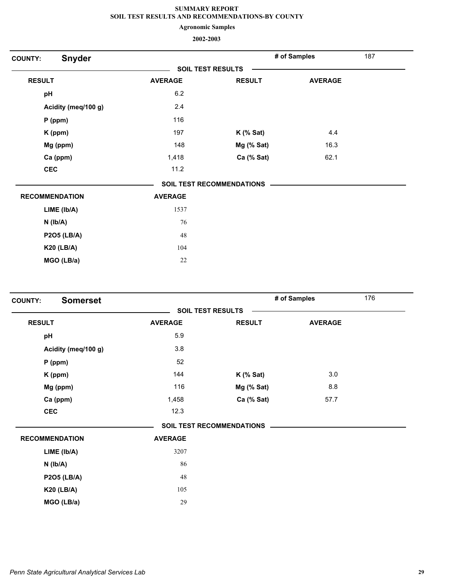**Agronomic Samples**

| <b>COUNTY:</b> | <b>Snyder</b>         |                |                                  | # of Samples   | 187 |
|----------------|-----------------------|----------------|----------------------------------|----------------|-----|
|                |                       |                | <b>SOIL TEST RESULTS</b>         |                |     |
| <b>RESULT</b>  |                       | <b>AVERAGE</b> | <b>RESULT</b>                    | <b>AVERAGE</b> |     |
| pH             |                       | 6.2            |                                  |                |     |
|                | Acidity (meq/100 g)   | 2.4            |                                  |                |     |
|                | P (ppm)               | 116            |                                  |                |     |
|                | K (ppm)               | 197            | $K$ (% Sat)                      | 4.4            |     |
|                | Mg (ppm)              | 148            | Mg (% Sat)                       | 16.3           |     |
|                | Ca (ppm)              | 1,418          | Ca (% Sat)                       | 62.1           |     |
| <b>CEC</b>     |                       | 11.2           |                                  |                |     |
|                |                       |                | <b>SOIL TEST RECOMMENDATIONS</b> |                |     |
|                | <b>RECOMMENDATION</b> | <b>AVERAGE</b> |                                  |                |     |
|                | LIME (Ib/A)           | 1537           |                                  |                |     |
|                | $N$ ( $Ib/A$ )        | 76             |                                  |                |     |
|                | <b>P2O5 (LB/A)</b>    | 48             |                                  |                |     |
|                | <b>K20 (LB/A)</b>     | 104            |                                  |                |     |
|                | MGO (LB/a)            | 22             |                                  |                |     |
|                |                       |                |                                  |                |     |

| <b>Somerset</b><br><b>COUNTY:</b> |                |                                  | # of Samples   | 176 |
|-----------------------------------|----------------|----------------------------------|----------------|-----|
|                                   |                | <b>SOIL TEST RESULTS</b>         |                |     |
| <b>RESULT</b>                     | <b>AVERAGE</b> | <b>RESULT</b>                    | <b>AVERAGE</b> |     |
| pH                                | 5.9            |                                  |                |     |
| Acidity (meq/100 g)               | 3.8            |                                  |                |     |
| $P$ (ppm)                         | 52             |                                  |                |     |
| K (ppm)                           | 144            | $K$ (% Sat)                      | 3.0            |     |
| Mg (ppm)                          | 116            | Mg (% Sat)                       | 8.8            |     |
| Ca (ppm)                          | 1,458          | Ca (% Sat)                       | 57.7           |     |
| <b>CEC</b>                        | 12.3           |                                  |                |     |
|                                   |                | <b>SOIL TEST RECOMMENDATIONS</b> |                |     |
| <b>RECOMMENDATION</b>             | <b>AVERAGE</b> |                                  |                |     |
| LIME (lb/A)                       | 3207           |                                  |                |     |
| $N$ ( $lb/A$ )                    | 86             |                                  |                |     |
| <b>P2O5 (LB/A)</b>                | 48             |                                  |                |     |
| <b>K20 (LB/A)</b>                 | 105            |                                  |                |     |
| MGO (LB/a)                        | 29             |                                  |                |     |
|                                   |                |                                  |                |     |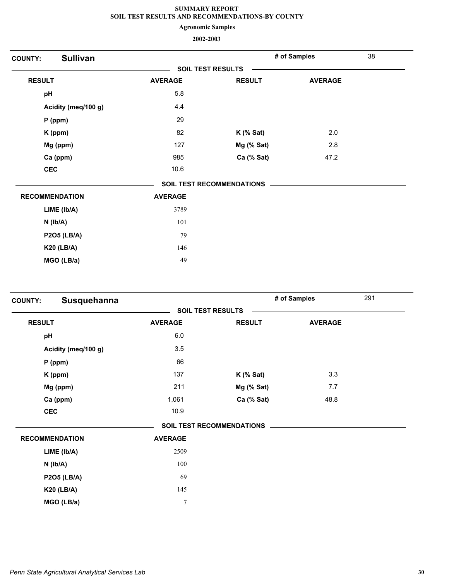**Agronomic Samples**

| <b>COUNTY:</b> | <b>Sullivan</b>       |                |                                  | # of Samples   | 38 |
|----------------|-----------------------|----------------|----------------------------------|----------------|----|
|                |                       |                | <b>SOIL TEST RESULTS</b>         |                |    |
| <b>RESULT</b>  |                       | <b>AVERAGE</b> | <b>RESULT</b>                    | <b>AVERAGE</b> |    |
| pH             |                       | 5.8            |                                  |                |    |
|                | Acidity (meq/100 g)   | 4.4            |                                  |                |    |
|                | $P$ (ppm)             | 29             |                                  |                |    |
|                | K (ppm)               | 82             | $K$ (% Sat)                      | 2.0            |    |
|                | Mg (ppm)              | 127            | Mg (% Sat)                       | 2.8            |    |
|                | Ca (ppm)              | 985            | Ca (% Sat)                       | 47.2           |    |
| <b>CEC</b>     |                       | 10.6           |                                  |                |    |
|                |                       |                | <b>SOIL TEST RECOMMENDATIONS</b> |                |    |
|                | <b>RECOMMENDATION</b> | <b>AVERAGE</b> |                                  |                |    |
|                | LIME (Ib/A)           | 3789           |                                  |                |    |
|                | $N$ ( $Ib/A$ )        | 101            |                                  |                |    |
|                | <b>P2O5 (LB/A)</b>    | 79             |                                  |                |    |
|                | <b>K20 (LB/A)</b>     | 146            |                                  |                |    |
|                | MGO (LB/a)            | 49             |                                  |                |    |
|                |                       |                |                                  |                |    |

| <b>COUNTY:</b> | Susquehanna           |                  |                                  | # of Samples   | 291 |
|----------------|-----------------------|------------------|----------------------------------|----------------|-----|
|                |                       |                  | <b>SOIL TEST RESULTS</b>         |                |     |
| <b>RESULT</b>  |                       | <b>AVERAGE</b>   | <b>RESULT</b>                    | <b>AVERAGE</b> |     |
| pH             |                       | $6.0\,$          |                                  |                |     |
|                | Acidity (meq/100 g)   | 3.5              |                                  |                |     |
|                | $P$ (ppm)             | 66               |                                  |                |     |
|                | K (ppm)               | 137              | $K$ (% Sat)                      | 3.3            |     |
|                | Mg (ppm)              | 211              | Mg (% Sat)                       | 7.7            |     |
|                | Ca (ppm)              | 1,061            | Ca (% Sat)                       | 48.8           |     |
| <b>CEC</b>     |                       | 10.9             |                                  |                |     |
|                |                       |                  | <b>SOIL TEST RECOMMENDATIONS</b> |                |     |
|                | <b>RECOMMENDATION</b> | <b>AVERAGE</b>   |                                  |                |     |
|                | LIME (lb/A)           | 2509             |                                  |                |     |
|                | $N$ ( $Ib/A$ )        | 100              |                                  |                |     |
|                | <b>P2O5 (LB/A)</b>    | 69               |                                  |                |     |
|                | <b>K20 (LB/A)</b>     | 145              |                                  |                |     |
|                | MGO (LB/a)            | $\boldsymbol{7}$ |                                  |                |     |
|                |                       |                  |                                  |                |     |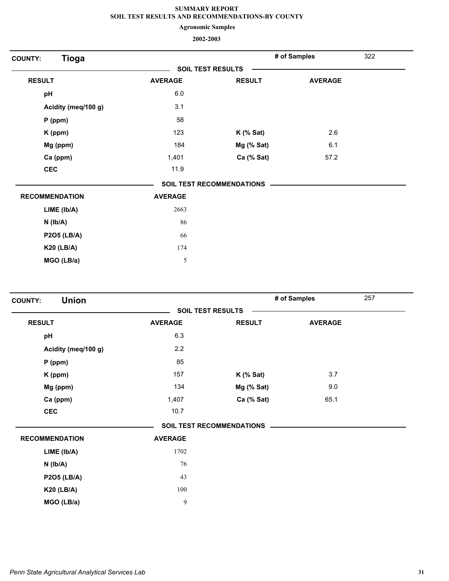**Agronomic Samples**

| <b>Tioga</b><br><b>COUNTY:</b> |                |                                  | # of Samples   | 322 |
|--------------------------------|----------------|----------------------------------|----------------|-----|
|                                |                | <b>SOIL TEST RESULTS</b>         |                |     |
| <b>RESULT</b>                  | <b>AVERAGE</b> | <b>RESULT</b>                    | <b>AVERAGE</b> |     |
| pH                             | 6.0            |                                  |                |     |
| Acidity (meq/100 g)            | 3.1            |                                  |                |     |
| P (ppm)                        | 58             |                                  |                |     |
| K (ppm)                        | 123            | $K$ (% Sat)                      | 2.6            |     |
| Mg (ppm)                       | 184            | Mg (% Sat)                       | 6.1            |     |
| Ca (ppm)                       | 1,401          | Ca (% Sat)                       | 57.2           |     |
| <b>CEC</b>                     | 11.9           |                                  |                |     |
|                                |                | <b>SOIL TEST RECOMMENDATIONS</b> |                |     |
| <b>RECOMMENDATION</b>          | <b>AVERAGE</b> |                                  |                |     |
| LIME (Ib/A)                    | 2663           |                                  |                |     |
| $N$ ( $Ib/A$ )                 | 86             |                                  |                |     |
| <b>P2O5 (LB/A)</b>             | 66             |                                  |                |     |
| <b>K20 (LB/A)</b>              | 174            |                                  |                |     |
| MGO (LB/a)                     | 5              |                                  |                |     |

| <b>Union</b><br><b>COUNTY:</b> |                |                           | 257<br># of Samples |  |
|--------------------------------|----------------|---------------------------|---------------------|--|
|                                |                | <b>SOIL TEST RESULTS</b>  |                     |  |
| <b>RESULT</b>                  | <b>AVERAGE</b> | <b>RESULT</b>             | <b>AVERAGE</b>      |  |
| pH                             | 6.3            |                           |                     |  |
| Acidity (meq/100 g)            | 2.2            |                           |                     |  |
| $P$ (ppm)                      | 85             |                           |                     |  |
| K (ppm)                        | 157            | $K$ (% Sat)               | 3.7                 |  |
| Mg (ppm)                       | 134            | Mg (% Sat)                | 9.0                 |  |
| Ca (ppm)                       | 1,407          | Ca (% Sat)                | 65.1                |  |
| <b>CEC</b>                     | 10.7           |                           |                     |  |
|                                |                | SOIL TEST RECOMMENDATIONS |                     |  |
| <b>RECOMMENDATION</b>          | <b>AVERAGE</b> |                           |                     |  |
| LIME (Ib/A)                    | 1702           |                           |                     |  |
| $N$ ( $Ib/A$ )                 | 76             |                           |                     |  |
| P2O5 (LB/A)                    | 43             |                           |                     |  |
| <b>K20 (LB/A)</b>              | 100            |                           |                     |  |
| MGO (LB/a)                     | $\mathbf{9}$   |                           |                     |  |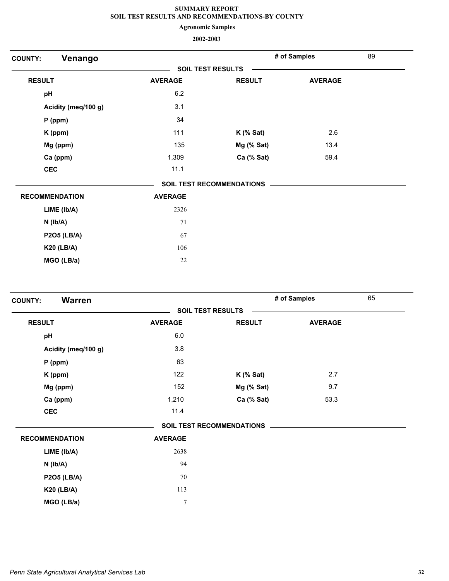**Agronomic Samples**

| Venango<br><b>COUNTY:</b> |                |                                  | # of Samples   | 89 |
|---------------------------|----------------|----------------------------------|----------------|----|
|                           |                | <b>SOIL TEST RESULTS</b>         |                |    |
| <b>RESULT</b>             | <b>AVERAGE</b> | <b>RESULT</b>                    | <b>AVERAGE</b> |    |
| pH                        | 6.2            |                                  |                |    |
| Acidity (meq/100 g)       | 3.1            |                                  |                |    |
| $P$ (ppm)                 | 34             |                                  |                |    |
| K (ppm)                   | 111            | $K$ (% Sat)                      | 2.6            |    |
| Mg (ppm)                  | 135            | Mg (% Sat)                       | 13.4           |    |
| Ca (ppm)                  | 1,309          | Ca (% Sat)                       | 59.4           |    |
| <b>CEC</b>                | 11.1           |                                  |                |    |
|                           |                | <b>SOIL TEST RECOMMENDATIONS</b> |                |    |
| <b>RECOMMENDATION</b>     | <b>AVERAGE</b> |                                  |                |    |
| LIME (Ib/A)               | 2326           |                                  |                |    |
| $N$ ( $lb/A$ )            | 71             |                                  |                |    |
| <b>P2O5 (LB/A)</b>        | 67             |                                  |                |    |
| <b>K20 (LB/A)</b>         | 106            |                                  |                |    |
| MGO (LB/a)                | 22             |                                  |                |    |

| <b>Warren</b><br><b>COUNTY:</b> |                |                                  | # of Samples   | 65 |
|---------------------------------|----------------|----------------------------------|----------------|----|
|                                 |                | <b>SOIL TEST RESULTS</b>         |                |    |
| <b>RESULT</b>                   | <b>AVERAGE</b> | <b>RESULT</b>                    | <b>AVERAGE</b> |    |
| pH                              | 6.0            |                                  |                |    |
| Acidity (meq/100 g)             | 3.8            |                                  |                |    |
| $P$ (ppm)                       | 63             |                                  |                |    |
| K (ppm)                         | 122            | $K$ (% Sat)                      | 2.7            |    |
| Mg (ppm)                        | 152            | Mg (% Sat)                       | 9.7            |    |
| Ca (ppm)                        | 1,210          | Ca (% Sat)                       | 53.3           |    |
| <b>CEC</b>                      | 11.4           |                                  |                |    |
|                                 |                | <b>SOIL TEST RECOMMENDATIONS</b> |                |    |
| <b>RECOMMENDATION</b>           | <b>AVERAGE</b> |                                  |                |    |
| LIME (Ib/A)                     | 2638           |                                  |                |    |
| $N$ ( $lb/A$ )                  | 94             |                                  |                |    |
| <b>P2O5 (LB/A)</b>              | 70             |                                  |                |    |
| <b>K20 (LB/A)</b>               | 113            |                                  |                |    |
| MGO (LB/a)                      | $\overline{7}$ |                                  |                |    |
|                                 |                |                                  |                |    |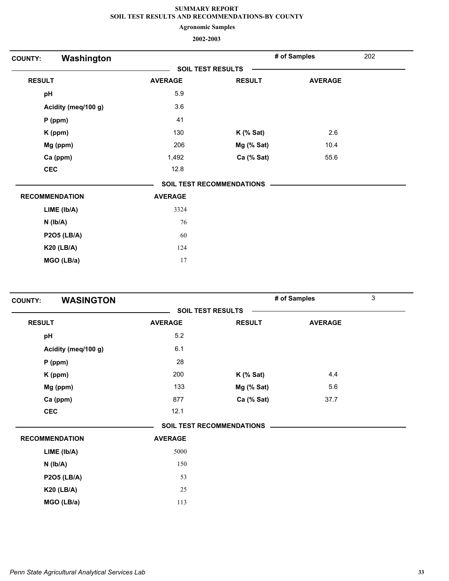**Agronomic Samples**

| Washington<br><b>COUNTY:</b> |                |                           | # of Samples   | 202 |
|------------------------------|----------------|---------------------------|----------------|-----|
|                              |                | <b>SOIL TEST RESULTS</b>  |                |     |
| <b>RESULT</b>                | <b>AVERAGE</b> | <b>RESULT</b>             | <b>AVERAGE</b> |     |
| pH                           | 5.9            |                           |                |     |
| Acidity (meq/100 g)          | 3.6            |                           |                |     |
| $P$ (ppm)                    | 41             |                           |                |     |
| K (ppm)                      | 130            | $K$ (% Sat)               | 2.6            |     |
| Mg (ppm)                     | 206            | Mg (% Sat)                | 10.4           |     |
| Ca (ppm)                     | 1,492          | Ca (% Sat)                | 55.6           |     |
| <b>CEC</b>                   | 12.8           |                           |                |     |
|                              |                | SOIL TEST RECOMMENDATIONS |                |     |
| <b>RECOMMENDATION</b>        | <b>AVERAGE</b> |                           |                |     |
| LIME (Ib/A)                  | 3324           |                           |                |     |
| $N$ ( $lb/A$ )               | 76             |                           |                |     |
| <b>P2O5 (LB/A)</b>           | 60             |                           |                |     |
| <b>K20 (LB/A)</b>            | 124            |                           |                |     |
| MGO (LB/a)                   | 17             |                           |                |     |

| <b>WASINGTON</b><br><b>COUNTY:</b> |                |                                  | # of Samples   | 3 |
|------------------------------------|----------------|----------------------------------|----------------|---|
|                                    |                | <b>SOIL TEST RESULTS</b>         |                |   |
| <b>RESULT</b>                      | <b>AVERAGE</b> | <b>RESULT</b>                    | <b>AVERAGE</b> |   |
| pH                                 | 5.2            |                                  |                |   |
| Acidity (meq/100 g)                | 6.1            |                                  |                |   |
| $P$ (ppm)                          | 28             |                                  |                |   |
| K (ppm)                            | 200            | $K$ (% Sat)                      | 4.4            |   |
| Mg (ppm)                           | 133            | Mg (% Sat)                       | 5.6            |   |
| Ca (ppm)                           | 877            | Ca (% Sat)                       | 37.7           |   |
| <b>CEC</b>                         | 12.1           |                                  |                |   |
|                                    |                | <b>SOIL TEST RECOMMENDATIONS</b> |                |   |
| <b>RECOMMENDATION</b>              | <b>AVERAGE</b> |                                  |                |   |
| LIME (Ib/A)                        | 5000           |                                  |                |   |
| $N$ ( $Ib/A$ )                     | 150            |                                  |                |   |
| <b>P2O5 (LB/A)</b>                 | 53             |                                  |                |   |
| <b>K20 (LB/A)</b>                  | 25             |                                  |                |   |
| MGO (LB/a)                         | 113            |                                  |                |   |
|                                    |                |                                  |                |   |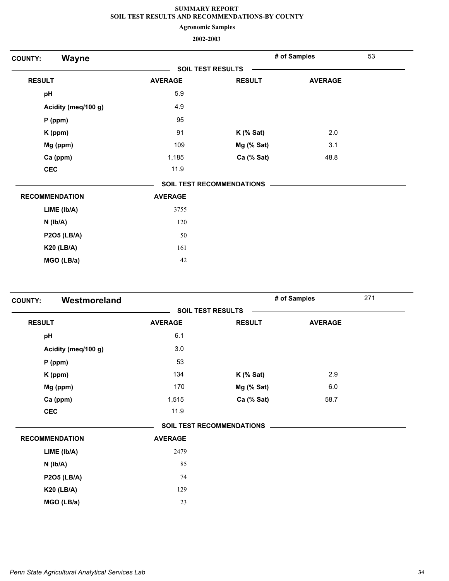**Agronomic Samples**

| Wayne<br><b>COUNTY:</b> |                |                                  | # of Samples   | 53 |
|-------------------------|----------------|----------------------------------|----------------|----|
|                         |                | <b>SOIL TEST RESULTS</b>         |                |    |
| <b>RESULT</b>           | <b>AVERAGE</b> | <b>RESULT</b>                    | <b>AVERAGE</b> |    |
| pH                      | 5.9            |                                  |                |    |
| Acidity (meq/100 g)     | 4.9            |                                  |                |    |
| P (ppm)                 | 95             |                                  |                |    |
| K (ppm)                 | 91             | $K$ (% Sat)                      | 2.0            |    |
| Mg (ppm)                | 109            | Mg (% Sat)                       | 3.1            |    |
| Ca (ppm)                | 1,185          | Ca (% Sat)                       | 48.8           |    |
| <b>CEC</b>              | 11.9           |                                  |                |    |
|                         |                | <b>SOIL TEST RECOMMENDATIONS</b> |                |    |
| <b>RECOMMENDATION</b>   | <b>AVERAGE</b> |                                  |                |    |
| LIME (Ib/A)             | 3755           |                                  |                |    |
| $N$ ( $Ib/A$ )          | 120            |                                  |                |    |
| <b>P2O5 (LB/A)</b>      | 50             |                                  |                |    |
| <b>K20 (LB/A)</b>       | 161            |                                  |                |    |
| MGO (LB/a)              | 42             |                                  |                |    |

| <b>COUNTY:</b> | Westmoreland          |                |                                  | # of Samples   | 271 |
|----------------|-----------------------|----------------|----------------------------------|----------------|-----|
|                |                       |                | <b>SOIL TEST RESULTS</b>         |                |     |
| <b>RESULT</b>  |                       | <b>AVERAGE</b> | <b>RESULT</b>                    | <b>AVERAGE</b> |     |
| pH             |                       | 6.1            |                                  |                |     |
|                | Acidity (meq/100 g)   | 3.0            |                                  |                |     |
|                | $P$ (ppm)             | 53             |                                  |                |     |
|                | K (ppm)               | 134            | $K$ (% Sat)                      | 2.9            |     |
|                | Mg (ppm)              | 170            | Mg (% Sat)                       | $6.0\,$        |     |
|                | Ca (ppm)              | 1,515          | Ca (% Sat)                       | 58.7           |     |
| <b>CEC</b>     |                       | 11.9           |                                  |                |     |
|                |                       |                | <b>SOIL TEST RECOMMENDATIONS</b> |                |     |
|                | <b>RECOMMENDATION</b> | <b>AVERAGE</b> |                                  |                |     |
|                | LIME (lb/A)           | 2479           |                                  |                |     |
|                | $N$ ( $lb/A$ )        | 85             |                                  |                |     |
|                | <b>P2O5 (LB/A)</b>    | 74             |                                  |                |     |
|                | <b>K20 (LB/A)</b>     | 129            |                                  |                |     |
|                | MGO (LB/a)            | 23             |                                  |                |     |
|                |                       |                |                                  |                |     |